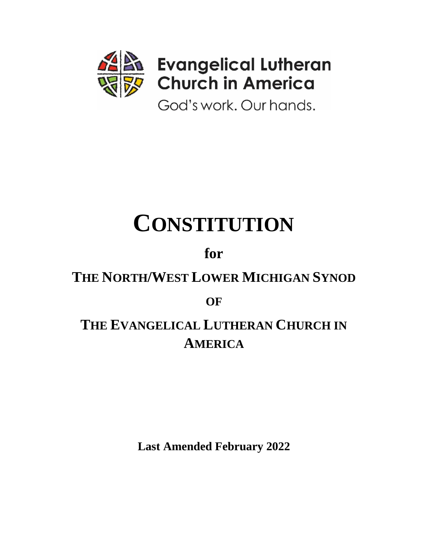

# **CONSTITUTION**

## **for**

### **THE NORTH/WEST LOWER MICHIGAN SYNOD**

**OF**

# **THE EVANGELICAL LUTHERAN CHURCH IN AMERICA**

**Last Amended February 2022**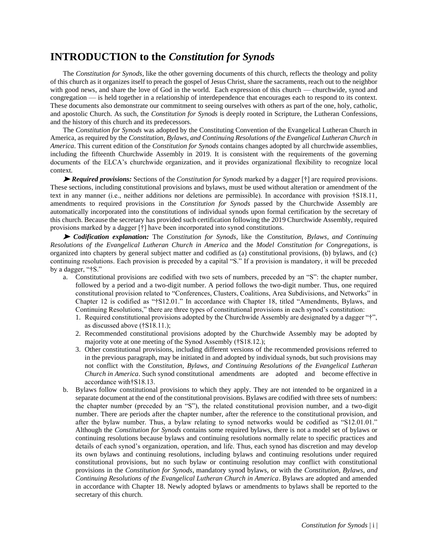### **INTRODUCTION to the** *Constitution for Synods*

The *Constitution for Synods*, like the other governing documents of this church, reflects the theology and polity of this church as it organizes itself to preach the gospel of Jesus Christ, share the sacraments, reach out to the neighbor with good news, and share the love of God in the world. Each expression of this church — churchwide, synod and congregation — is held together in a relationship of interdependence that encourages each to respond to its context. These documents also demonstrate our commitment to seeing ourselves with others as part of the one, holy, catholic, and apostolic Church. As such, the *Constitution for Synods* is deeply rooted in Scripture, the Lutheran Confessions, and the history of this church and its predecessors.

The *Constitution for Synods* was adopted by the Constituting Convention of the Evangelical Lutheran Church in America, as required by the *Constitution, Bylaws, and Continuing Resolutions of the Evangelical Lutheran Church in America*. This current edition of the *Constitution for Synods* contains changes adopted by all churchwide assemblies, including the fifteenth Churchwide Assembly in 2019. It is consistent with the requirements of the governing documents of the ELCA's churchwide organization, and it provides organizational flexibility to recognize local context.

➤ *Required provisions:* Sections of the *Constitution for Synods* marked by a dagger [†] are required provisions. These sections, including constitutional provisions and bylaws, must be used without alteration or amendment of the text in any manner (i.e., neither additions nor deletions are permissible). In accordance with provision †S18.11, amendments to required provisions in the *Constitution for Synods* passed by the Churchwide Assembly are automatically incorporated into the constitutions of individual synods upon formal certification by the secretary of this church. Because the secretary has provided such certification following the 2019 Churchwide Assembly, required provisions marked by a dagger [†] have been incorporated into synod constitutions.

➤ *Codification explanation:* The *Constitution for Synods*, like the *Constitution, Bylaws, and Continuing Resolutions of the Evangelical Lutheran Church in America* and the *Model Constitution for Congregations*, is organized into chapters by general subject matter and codified as (a) constitutional provisions, (b) bylaws, and (c) continuing resolutions. Each provision is preceded by a capital "S." If a provision is mandatory, it will be preceded by a dagger, "†S."

- a. Constitutional provisions are codified with two sets of numbers, preceded by an "S": the chapter number, followed by a period and a two-digit number. A period follows the two-digit number. Thus, one required constitutional provision related to "Conferences, Clusters, Coalitions, Area Subdivisions, and Networks" in Chapter 12 is codified as "†S12.01." In accordance with Chapter 18, titled "Amendments, Bylaws, and Continuing Resolutions," there are three types of constitutional provisions in each synod's constitution:
	- 1. Required constitutional provisions adopted by the Churchwide Assembly are designated by a dagger "†", as discussed above (†S18.11.);
	- 2. Recommended constitutional provisions adopted by the Churchwide Assembly may be adopted by majority vote at one meeting of the Synod Assembly (†S18.12.);
	- 3. Other constitutional provisions, including different versions of the recommended provisions referred to in the previous paragraph, may be initiated in and adopted by individual synods, but such provisions may not conflict with the *Constitution, Bylaws, and Continuing Resolutions of the Evangelical Lutheran Church in America*. Such synod constitutional amendments are adopted and become effective in accordance with†S18.13.
- b. Bylaws follow constitutional provisions to which they apply. They are not intended to be organized in a separate document at the end of the constitutional provisions. Bylaws are codified with three sets of numbers: the chapter number (preceded by an "S"), the related constitutional provision number, and a two-digit number. There are periods after the chapter number, after the reference to the constitutional provision, and after the bylaw number. Thus, a bylaw relating to synod networks would be codified as "S12.01.01." Although the *Constitution for Synods* contains some required bylaws, there is not a model set of bylaws or continuing resolutions because bylaws and continuing resolutions normally relate to specific practices and details of each synod's organization, operation, and life. Thus, each synod has discretion and may develop its own bylaws and continuing resolutions, including bylaws and continuing resolutions under required constitutional provisions, but no such bylaw or continuing resolution may conflict with constitutional provisions in the *Constitution for Synods*, mandatory synod bylaws, or with the *Constitution, Bylaws, and Continuing Resolutions of the Evangelical Lutheran Church in America*. Bylaws are adopted and amended in accordance with Chapter 18. Newly adopted bylaws or amendments to bylaws shall be reported to the secretary of this church.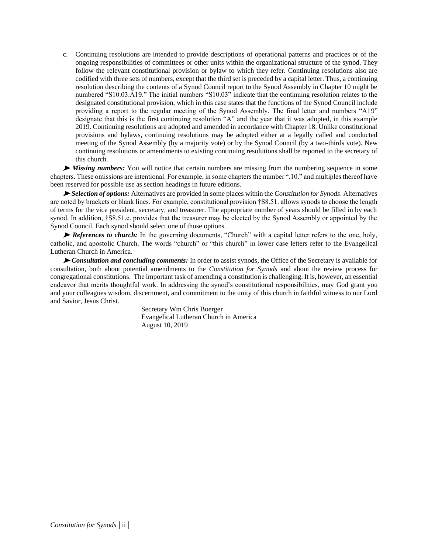c. Continuing resolutions are intended to provide descriptions of operational patterns and practices or of the ongoing responsibilities of committees or other units within the organizational structure of the synod. They follow the relevant constitutional provision or bylaw to which they refer. Continuing resolutions also are codified with three sets of numbers, except that the third set is preceded by a capital letter. Thus, a continuing resolution describing the contents of a Synod Council report to the Synod Assembly in Chapter 10 might be numbered "S10.03.A19." The initial numbers "S10.03" indicate that the continuing resolution relates to the designated constitutional provision, which in this case states that the functions of the Synod Council include providing a report to the regular meeting of the Synod Assembly. The final letter and numbers "A19" designate that this is the first continuing resolution "A" and the year that it was adopted, in this example 2019. Continuing resolutions are adopted and amended in accordance with Chapter 18. Unlike constitutional provisions and bylaws, continuing resolutions may be adopted either at a legally called and conducted meeting of the Synod Assembly (by a majority vote) or by the Synod Council (by a two-thirds vote). New continuing resolutions or amendments to existing continuing resolutions shall be reported to the secretary of this church.

➤ *Missing numbers:* You will notice that certain numbers are missing from the numbering sequence in some chapters. These omissions are intentional. For example, in some chapters the number ".10." and multiples thereof have been reserved for possible use as section headings in future editions.

➤ *Selection of options:* Alternatives are provided in some places within the *Constitution for Synods*. Alternatives are noted by brackets or blank lines. For example, constitutional provision †S8.51. allows synods to choose the length of terms for the vice president, secretary, and treasurer. The appropriate number of years should be filled in by each synod. In addition, †S8.51.c. provides that the treasurer may be elected by the Synod Assembly or appointed by the Synod Council. Each synod should select one of those options.

► *References to church:* In the governing documents, "Church" with a capital letter refers to the one, holy, catholic, and apostolic Church. The words "church" or "this church" in lower case letters refer to the Evangelical Lutheran Church in America.

➤ *Consultation and concluding comments:* In order to assist synods, the Office of the Secretary is available for consultation, both about potential amendments to the *Constitution for Synods* and about the review process for congregational constitutions. The important task of amending a constitution is challenging. It is, however, an essential endeavor that merits thoughtful work. In addressing the synod's constitutional responsibilities, may God grant you and your colleagues wisdom, discernment, and commitment to the unity of this church in faithful witness to our Lord and Savior, Jesus Christ.

> Secretary Wm Chris Boerger Evangelical Lutheran Church in America August 10, 2019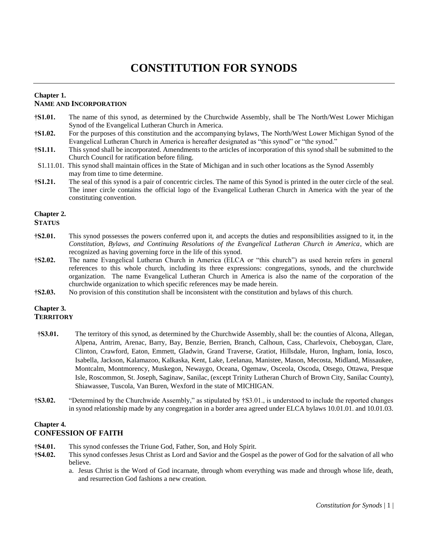### **CONSTITUTION FOR SYNODS**

#### **Chapter 1.**

#### **NAME AND INCORPORATION**

- **†S1.01.** The name of this synod, as determined by the Churchwide Assembly, shall be The North/West Lower Michigan Synod of the Evangelical Lutheran Church in America.
- **†S1.02.** For the purposes of this constitution and the accompanying bylaws, The North/West Lower Michigan Synod of the Evangelical Lutheran Church in America is hereafter designated as "this synod" or "the synod."
- **†S1.11.** This synod shall be incorporated. Amendments to the articles of incorporation of this synod shall be submitted to the Church Council for ratification before filing.
- S1.11.01. This synod shall maintain offices in the State of Michigan and in such other locations as the Synod Assembly may from time to time determine.
- **†S1.21.** The seal of this synod is a pair of concentric circles. The name of this Synod is printed in the outer circle of the seal. The inner circle contains the official logo of the Evangelical Lutheran Church in America with the year of the constituting convention.

#### **Chapter 2.**

#### **STATUS**

- **†S2.01.** This synod possesses the powers conferred upon it, and accepts the duties and responsibilities assigned to it, in the *Constitution, Bylaws, and Continuing Resolutions of the Evangelical Lutheran Church in America*, which are recognized as having governing force in the life of this synod.
- **†S2.02.** The name Evangelical Lutheran Church in America (ELCA or "this church") as used herein refers in general references to this whole church, including its three expressions: congregations, synods, and the churchwide organization. The name Evangelical Lutheran Church in America is also the name of the corporation of the churchwide organization to which specific references may be made herein.
- **†S2.03.** No provision of this constitution shall be inconsistent with the constitution and bylaws of this church.

#### **Chapter 3. TERRITORY**

- **†S3.01.** The territory of this synod, as determined by the Churchwide Assembly, shall be: the counties of Alcona, Allegan, Alpena, Antrim, Arenac, Barry, Bay, Benzie, Berrien, Branch, Calhoun, Cass, Charlevoix, Cheboygan, Clare, Clinton, Crawford, Eaton, Emmett, Gladwin, Grand Traverse, Gratiot, Hillsdale, Huron, Ingham, Ionia, Iosco, Isabella, Jackson, Kalamazoo, Kalkaska, Kent, Lake, Leelanau, Manistee, Mason, Mecosta, Midland, Missaukee, Montcalm, Montmorency, Muskegon, Newaygo, Oceana, Ogemaw, Osceola, Oscoda, Otsego, Ottawa, Presque Isle, Roscommon, St. Joseph, Saginaw, Sanilac, (except Trinity Lutheran Church of Brown City, Sanilac County), Shiawassee, Tuscola, Van Buren, Wexford in the state of MICHIGAN.
- **†S3.02.** "Determined by the Churchwide Assembly," as stipulated by †S3.01., is understood to include the reported changes in synod relationship made by any congregation in a border area agreed under ELCA bylaws 10.01.01. and 10.01.03.

#### **Chapter 4. CONFESSION OF FAITH**

- **†S4.01.** This synod confesses the Triune God, Father, Son, and Holy Spirit.
- **†S4.02.** This synod confesses Jesus Christ as Lord and Savior and the Gospel as the power of God for the salvation of all who believe.
	- a. Jesus Christ is the Word of God incarnate, through whom everything was made and through whose life, death, and resurrection God fashions a new creation.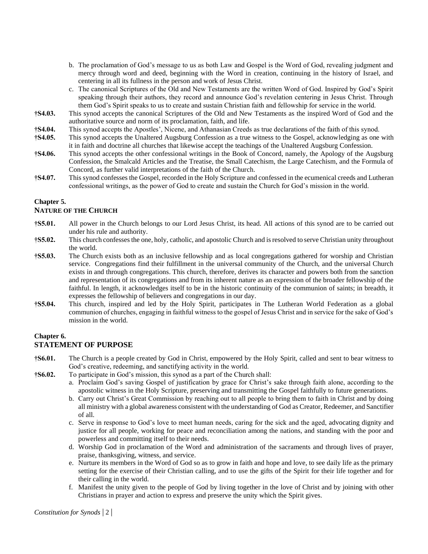- b. The proclamation of God's message to us as both Law and Gospel is the Word of God, revealing judgment and mercy through word and deed, beginning with the Word in creation, continuing in the history of Israel, and centering in all its fullness in the person and work of Jesus Christ.
- c. The canonical Scriptures of the Old and New Testaments are the written Word of God. Inspired by God's Spirit speaking through their authors, they record and announce God's revelation centering in Jesus Christ. Through them God's Spirit speaks to us to create and sustain Christian faith and fellowship for service in the world.
- **†S4.03.** This synod accepts the canonical Scriptures of the Old and New Testaments as the inspired Word of God and the authoritative source and norm of its proclamation, faith, and life.
- **†S4.04.** This synod accepts the Apostles', Nicene, and Athanasian Creeds as true declarations of the faith of this synod.
- **†S4.05.** This synod accepts the Unaltered Augsburg Confession as a true witness to the Gospel, acknowledging as one with it in faith and doctrine all churches that likewise accept the teachings of the Unaltered Augsburg Confession.
- **†S4.06.** This synod accepts the other confessional writings in the Book of Concord, namely, the Apology of the Augsburg Confession, the Smalcald Articles and the Treatise, the Small Catechism, the Large Catechism, and the Formula of Concord, as further valid interpretations of the faith of the Church.
- **†S4.07.** This synod confesses the Gospel, recorded in the Holy Scripture and confessed in the ecumenical creeds and Lutheran confessional writings, as the power of God to create and sustain the Church for God's mission in the world.

#### **Chapter 5.**

#### **NATURE OF THE CHURCH**

- **†S5.01.** All power in the Church belongs to our Lord Jesus Christ, its head. All actions of this synod are to be carried out under his rule and authority.
- **†S5.02.** This church confesses the one, holy, catholic, and apostolic Church and is resolved to serve Christian unity throughout the world.
- **†S5.03.** The Church exists both as an inclusive fellowship and as local congregations gathered for worship and Christian service. Congregations find their fulfillment in the universal community of the Church, and the universal Church exists in and through congregations. This church, therefore, derives its character and powers both from the sanction and representation of its congregations and from its inherent nature as an expression of the broader fellowship of the faithful. In length, it acknowledges itself to be in the historic continuity of the communion of saints; in breadth, it expresses the fellowship of believers and congregations in our day.
- **†S5.04.** This church, inspired and led by the Holy Spirit, participates in The Lutheran World Federation as a global communion of churches, engaging in faithful witness to the gospel of Jesus Christ and in service for the sake of God's mission in the world.

#### **Chapter 6.**

#### **STATEMENT OF PURPOSE**

- **†S6.01.** The Church is a people created by God in Christ, empowered by the Holy Spirit, called and sent to bear witness to God's creative, redeeming, and sanctifying activity in the world.
- **†S6.02.** To participate in God's mission, this synod as a part of the Church shall:
	- a. Proclaim God's saving Gospel of justification by grace for Christ's sake through faith alone, according to the apostolic witness in the Holy Scripture, preserving and transmitting the Gospel faithfully to future generations.
	- b. Carry out Christ's Great Commission by reaching out to all people to bring them to faith in Christ and by doing all ministry with a global awareness consistent with the understanding of God as Creator, Redeemer, and Sanctifier of all.
	- c. Serve in response to God's love to meet human needs, caring for the sick and the aged, advocating dignity and justice for all people, working for peace and reconciliation among the nations, and standing with the poor and powerless and committing itself to their needs.
	- d. Worship God in proclamation of the Word and administration of the sacraments and through lives of prayer, praise, thanksgiving, witness, and service.
	- e. Nurture its members in the Word of God so as to grow in faith and hope and love, to see daily life as the primary setting for the exercise of their Christian calling, and to use the gifts of the Spirit for their life together and for their calling in the world.
	- f. Manifest the unity given to the people of God by living together in the love of Christ and by joining with other Christians in prayer and action to express and preserve the unity which the Spirit gives.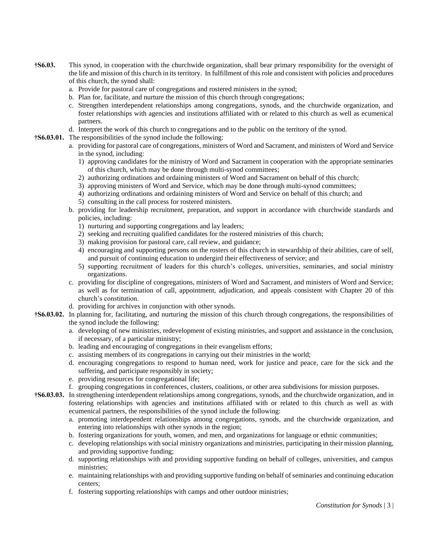- **†S6.03.** This synod, in cooperation with the churchwide organization, shall bear primary responsibility for the oversight of the life and mission of this church in its territory. In fulfillment of this role and consistent with policies and procedures of this church, the synod shall:
	- a. Provide for pastoral care of congregations and rostered ministers in the synod;
	- b. Plan for, facilitate, and nurture the mission of this church through congregations;
	- c. Strengthen interdependent relationships among congregations, synods, and the churchwide organization, and foster relationships with agencies and institutions affiliated with or related to this church as well as ecumenical partners.
	- d. Interpret the work of this church to congregations and to the public on the territory of the synod.
- **†S6.03.01.** The responsibilities of the synod include the following:
	- a. providing for pastoral care of congregations, ministers of Word and Sacrament, and ministers of Word and Service in the synod, including:
		- 1) approving candidates for the ministry of Word and Sacrament in cooperation with the appropriate seminaries of this church, which may be done through multi-synod committees;
		- 2) authorizing ordinations and ordaining ministers of Word and Sacrament on behalf of this church;
		- 3) approving ministers of Word and Service, which may be done through multi-synod committees;
		- 4) authorizing ordinations and ordaining ministers of Word and Service on behalf of this church; and
		- 5) consulting in the call process for rostered ministers.
	- b. providing for leadership recruitment, preparation, and support in accordance with churchwide standards and policies, including:
		- 1) nurturing and supporting congregations and lay leaders;
		- 2) seeking and recruiting qualified candidates for the rostered ministries of this church;
		- 3) making provision for pastoral care, call review, and guidance;
		- 4) encouraging and supporting persons on the rosters of this church in stewardship of their abilities, care of self, and pursuit of continuing education to undergird their effectiveness of service; and
		- 5) supporting recruitment of leaders for this church's colleges, universities, seminaries, and social ministry organizations.
	- c. providing for discipline of congregations, ministers of Word and Sacrament, and ministers of Word and Service; as well as for termination of call, appointment, adjudication, and appeals consistent with Chapter 20 of this church's constitution.
	- d. providing for archives in conjunction with other synods.
- **†S6.03.02.** In planning for, facilitating, and nurturing the mission of this church through congregations, the responsibilities of the synod include the following:
	- a. developing of new ministries, redevelopment of existing ministries, and support and assistance in the conclusion, if necessary, of a particular ministry;
	- b. leading and encouraging of congregations in their evangelism efforts;
	- c. assisting members of its congregations in carrying out their ministries in the world;
	- d. encouraging congregations to respond to human need, work for justice and peace, care for the sick and the suffering, and participate responsibly in society;
	- e. providing resources for congregational life;
	- f. grouping congregations in conferences, clusters, coalitions, or other area subdivisions for mission purposes.
- **†S6.03.03.** In strengthening interdependent relationships among congregations, synods, and the churchwide organization, and in fostering relationships with agencies and institutions affiliated with or related to this church as well as with ecumenical partners, the responsibilities of the synod include the following:
	- a. promoting interdependent relationships among congregations, synods, and the churchwide organization, and entering into relationships with other synods in the region;
	- b. fostering organizations for youth, women, and men, and organizations for language or ethnic communities;
	- c. developing relationships with social ministry organizations and ministries, participating in their mission planning, and providing supportive funding;
	- d. supporting relationships with and providing supportive funding on behalf of colleges, universities, and campus ministries;
	- e. maintaining relationships with and providing supportive funding on behalf of seminaries and continuing education centers;
	- f. fostering supporting relationships with camps and other outdoor ministries;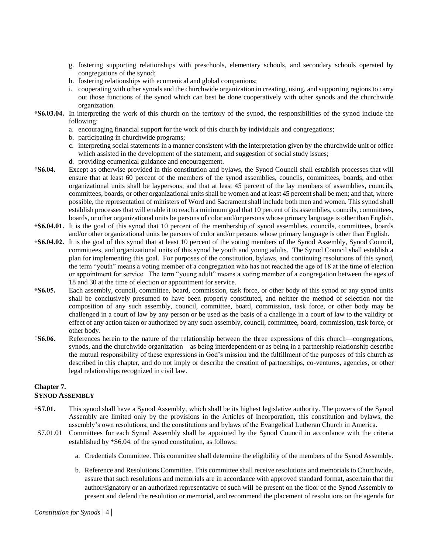- g. fostering supporting relationships with preschools, elementary schools, and secondary schools operated by congregations of the synod;
- h. fostering relationships with ecumenical and global companions;
- i. cooperating with other synods and the churchwide organization in creating, using, and supporting regions to carry out those functions of the synod which can best be done cooperatively with other synods and the churchwide organization.
- **†S6.03.04.** In interpreting the work of this church on the territory of the synod, the responsibilities of the synod include the following:
	- a. encouraging financial support for the work of this church by individuals and congregations;
	- b. participating in churchwide programs;
	- c. interpreting social statements in a manner consistent with the interpretation given by the churchwide unit or office which assisted in the development of the statement, and suggestion of social study issues;
	- d. providing ecumenical guidance and encouragement.
- **†S6.04.** Except as otherwise provided in this constitution and bylaws, the Synod Council shall establish processes that will ensure that at least 60 percent of the members of the synod assemblies, councils, committees, boards, and other organizational units shall be laypersons; and that at least 45 percent of the lay members of assemblies, councils, committees, boards, or other organizational units shall be women and at least 45 percent shall be men; and that, where possible, the representation of ministers of Word and Sacrament shall include both men and women. This synod shall establish processes that will enable it to reach a minimum goal that 10 percent of its assemblies, councils, committees, boards, or other organizational units be persons of color and/or persons whose primary language is other than English.
- **†S6.04.01.** It is the goal of this synod that 10 percent of the membership of synod assemblies, councils, committees, boards and/or other organizational units be persons of color and/or persons whose primary language is other than English.
- **†S6.04.02.** It is the goal of this synod that at least 10 percent of the voting members of the Synod Assembly, Synod Council, committees, and organizational units of this synod be youth and young adults. The Synod Council shall establish a plan for implementing this goal. For purposes of the constitution, bylaws, and continuing resolutions of this synod, the term "youth" means a voting member of a congregation who has not reached the age of 18 at the time of election or appointment for service. The term "young adult" means a voting member of a congregation between the ages of 18 and 30 at the time of election or appointment for service.
- **†S6.05.** Each assembly, council, committee, board, commission, task force, or other body of this synod or any synod units shall be conclusively presumed to have been properly constituted, and neither the method of selection nor the composition of any such assembly, council, committee, board, commission, task force, or other body may be challenged in a court of law by any person or be used as the basis of a challenge in a court of law to the validity or effect of any action taken or authorized by any such assembly, council, committee, board, commission, task force, or other body.
- **†S6.06.** References herein to the nature of the relationship between the three expressions of this church—congregations, synods, and the churchwide organization—as being interdependent or as being in a partnership relationship describe the mutual responsibility of these expressions in God's mission and the fulfillment of the purposes of this church as described in this chapter, and do not imply or describe the creation of partnerships, co-ventures, agencies, or other legal relationships recognized in civil law.

#### **Chapter 7. SYNOD ASSEMBLY**

- **†S7.01.** This synod shall have a Synod Assembly, which shall be its highest legislative authority. The powers of the Synod Assembly are limited only by the provisions in the Articles of Incorporation, this constitution and bylaws, the assembly's own resolutions, and the constitutions and bylaws of the Evangelical Lutheran Church in America.
- S7.01.01 Committees for each Synod Assembly shall be appointed by the Synod Council in accordance with the criteria established by \*S6.04. of the synod constitution, as follows:
	- a. Credentials Committee. This committee shall determine the eligibility of the members of the Synod Assembly.
	- b. Reference and Resolutions Committee. This committee shall receive resolutions and memorials to Churchwide, assure that such resolutions and memorials are in accordance with approved standard format, ascertain that the author/signatory or an authorized representative of such will be present on the floor of the Synod Assembly to present and defend the resolution or memorial, and recommend the placement of resolutions on the agenda for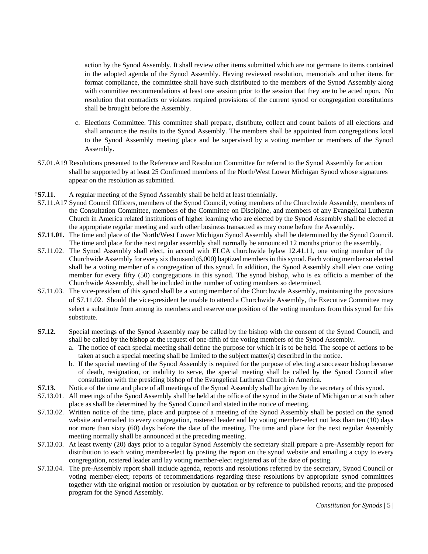action by the Synod Assembly. It shall review other items submitted which are not germane to items contained in the adopted agenda of the Synod Assembly. Having reviewed resolution, memorials and other items for format compliance, the committee shall have such distributed to the members of the Synod Assembly along with committee recommendations at least one session prior to the session that they are to be acted upon. No resolution that contradicts or violates required provisions of the current synod or congregation constitutions shall be brought before the Assembly.

- c. Elections Committee. This committee shall prepare, distribute, collect and count ballots of all elections and shall announce the results to the Synod Assembly. The members shall be appointed from congregations local to the Synod Assembly meeting place and be supervised by a voting member or members of the Synod Assembly.
- S7.01.A19 Resolutions presented to the Reference and Resolution Committee for referral to the Synod Assembly for action shall be supported by at least 25 Confirmed members of the North/West Lower Michigan Synod whose signatures appear on the resolution as submitted.
- **†S7.11.** A regular meeting of the Synod Assembly shall be held at least triennially.
- S7.11.A17 Synod Council Officers, members of the Synod Council, voting members of the Churchwide Assembly, members of the Consultation Committee, members of the Committee on Discipline, and members of any Evangelical Lutheran Church in America related institutions of higher learning who are elected by the Synod Assembly shall be elected at the appropriate regular meeting and such other business transacted as may come before the Assembly.
- **S7.11.01.** The time and place of the North/West Lower Michigan Synod Assembly shall be determined by the Synod Council. The time and place for the next regular assembly shall normally be announced 12 months prior to the assembly.
- S7.11.02. The Synod Assembly shall elect, in accord with ELCA churchwide bylaw 12.41.11, one voting member of the Churchwide Assembly for every six thousand (6,000) baptized members in this synod. Each voting member so elected shall be a voting member of a congregation of this synod. In addition, the Synod Assembly shall elect one voting member for every fifty (50) congregations in this synod. The synod bishop, who is ex officio a member of the Churchwide Assembly, shall be included in the number of voting members so determined.
- S7.11.03. The vice-president of this synod shall be a voting member of the Churchwide Assembly, maintaining the provisions of S7.11.02. Should the vice-president be unable to attend a Churchwide Assembly, the Executive Committee may select a substitute from among its members and reserve one position of the voting members from this synod for this substitute.
- **S7.12.** Special meetings of the Synod Assembly may be called by the bishop with the consent of the Synod Council, and shall be called by the bishop at the request of one-fifth of the voting members of the Synod Assembly.
	- a. The notice of each special meeting shall define the purpose for which it is to be held. The scope of actions to be taken at such a special meeting shall be limited to the subject matter(s) described in the notice.
	- b. If the special meeting of the Synod Assembly is required for the purpose of electing a successor bishop because of death, resignation, or inability to serve, the special meeting shall be called by the Synod Council after consultation with the presiding bishop of the Evangelical Lutheran Church in America.
- **S7.13.** Notice of the time and place of all meetings of the Synod Assembly shall be given by the secretary of this synod.
- S7.13.01. All meetings of the Synod Assembly shall be held at the office of the synod in the State of Michigan or at such other place as shall be determined by the Synod Council and stated in the notice of meeting.
- S7.13.02. Written notice of the time, place and purpose of a meeting of the Synod Assembly shall be posted on the synod website and emailed to every congregation, rostered leader and lay voting member-elect not less than ten (10) days nor more than sixty (60) days before the date of the meeting. The time and place for the next regular Assembly meeting normally shall be announced at the preceding meeting.
- S7.13.03. At least twenty (20) days prior to a regular Synod Assembly the secretary shall prepare a pre-Assembly report for distribution to each voting member-elect by posting the report on the synod website and emailing a copy to every congregation, rostered leader and lay voting member-elect registered as of the date of posting.
- S7.13.04. The pre-Assembly report shall include agenda, reports and resolutions referred by the secretary, Synod Council or voting member-elect; reports of recommendations regarding these resolutions by appropriate synod committees together with the original motion or resolution by quotation or by reference to published reports; and the proposed program for the Synod Assembly.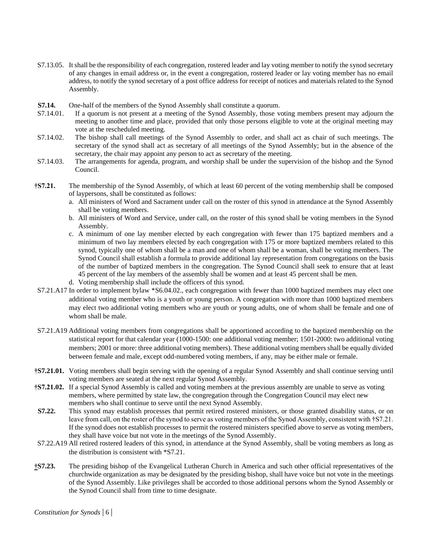- S7.13.05. It shall be the responsibility of each congregation, rostered leader and lay voting member to notify the synod secretary of any changes in email address or, in the event a congregation, rostered leader or lay voting member has no email address, to notify the synod secretary of a post office address for receipt of notices and materials related to the Synod Assembly.
- **S7.14.** One-half of the members of the Synod Assembly shall constitute a quorum.<br>S7.14.01. If a quorum is not present at a meeting of the Synod Assembly, those ve
- If a quorum is not present at a meeting of the Synod Assembly, those voting members present may adjourn the meeting to another time and place, provided that only those persons eligible to vote at the original meeting may vote at the rescheduled meeting.
- S7.14.02. The bishop shall call meetings of the Synod Assembly to order, and shall act as chair of such meetings. The secretary of the synod shall act as secretary of all meetings of the Synod Assembly; but in the absence of the secretary, the chair may appoint any person to act as secretary of the meeting.
- S7.14.03. The arrangements for agenda, program, and worship shall be under the supervision of the bishop and the Synod Council.
- **†S7.21.** The membership of the Synod Assembly, of which at least 60 percent of the voting membership shall be composed of laypersons, shall be constituted as follows:
	- a. All ministers of Word and Sacrament under call on the roster of this synod in attendance at the Synod Assembly shall be voting members.
	- b. All ministers of Word and Service, under call, on the roster of this synod shall be voting members in the Synod Assembly.
	- c. A minimum of one lay member elected by each congregation with fewer than 175 baptized members and a minimum of two lay members elected by each congregation with 175 or more baptized members related to this synod, typically one of whom shall be a man and one of whom shall be a woman, shall be voting members. The Synod Council shall establish a formula to provide additional lay representation from congregations on the basis of the number of baptized members in the congregation. The Synod Council shall seek to ensure that at least 45 percent of the lay members of the assembly shall be women and at least 45 percent shall be men.
	- d. Voting membership shall include the officers of this synod.
- S7.21.A17 In order to implement bylaw \*S6.04.02., each congregation with fewer than 1000 baptized members may elect one additional voting member who is a youth or young person. A congregation with more than 1000 baptized members may elect two additional voting members who are youth or young adults, one of whom shall be female and one of whom shall be male.
- S7.21.A19 Additional voting members from congregations shall be apportioned according to the baptized membership on the statistical report for that calendar year (1000-1500: one additional voting member; 1501-2000: two additional voting members; 2001 or more: three additional voting members). These additional voting members shall be equally divided between female and male, except odd-numbered voting members, if any, may be either male or female.
- **†S7.21.01.** Voting members shall begin serving with the opening of a regular Synod Assembly and shall continue serving until voting members are seated at the next regular Synod Assembly.
- **†S7.21.02.** If a special Synod Assembly is called and voting members at the previous assembly are unable to serve as voting members, where permitted by state law, the congregation through the Congregation Council may elect new members who shall continue to serve until the next Synod Assembly.
- **S7.22.** This synod may establish processes that permit retired rostered ministers, or those granted disability status, or on leave from call, on the roster of the synod to serve as voting members of the Synod Assembly, consistent with †S7.21. If the synod does not establish processes to permit the rostered ministers specified above to serve as voting members, they shall have voice but not vote in the meetings of the Synod Assembly.
- S7.22.A19 All retired rostered leaders of this synod, in attendance at the Synod Assembly, shall be voting members as long as the distribution is consistent with \*S7.21.
- **†S7.23.** The presiding bishop of the Evangelical Lutheran Church in America and such other official representatives of the churchwide organization as may be designated by the presiding bishop, shall have voice but not vote in the meetings of the Synod Assembly. Like privileges shall be accorded to those additional persons whom the Synod Assembly or the Synod Council shall from time to time designate.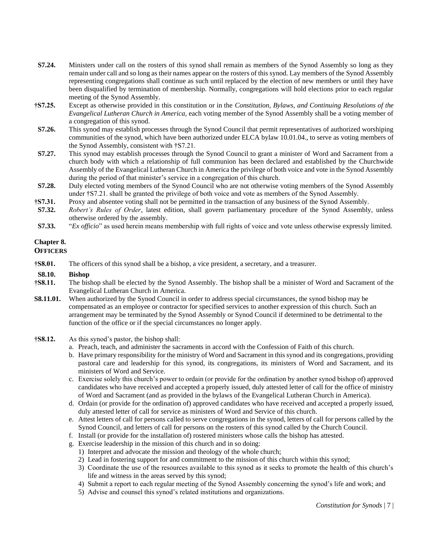- **S7.24.** Ministers under call on the rosters of this synod shall remain as members of the Synod Assembly so long as they remain under call and so long as their names appear on the rosters of this synod. Lay members of the Synod Assembly representing congregations shall continue as such until replaced by the election of new members or until they have been disqualified by termination of membership. Normally, congregations will hold elections prior to each regular meeting of the Synod Assembly.
- **†S7.25.** Except as otherwise provided in this constitution or in the *Constitution, Bylaws, and Continuing Resolutions of the Evangelical Lutheran Church in America,* each voting member of the Synod Assembly shall be a voting member of a congregation of this synod.
- **S7.26.** This synod may establish processes through the Synod Council that permit representatives of authorized worshiping communities of the synod, which have been authorized under ELCA bylaw 10.01.04., to serve as voting members of the Synod Assembly, consistent with †S7.21.
- **S7.27.** This synod may establish processes through the Synod Council to grant a minister of Word and Sacrament from a church body with which a relationship of full communion has been declared and established by the Churchwide Assembly of the Evangelical Lutheran Church in America the privilege of both voice and vote in the Synod Assembly during the period of that minister's service in a congregation of this church.
- **S7.28.** Duly elected voting members of the Synod Council who are not otherwise voting members of the Synod Assembly under †S7.21. shall be granted the privilege of both voice and vote as members of the Synod Assembly.
- **†S7.31.** Proxy and absentee voting shall not be permitted in the transaction of any business of the Synod Assembly.
- **S7.32.** *Robert's Rules of Order*, latest edition, shall govern parliamentary procedure of the Synod Assembly, unless otherwise ordered by the assembly.
- **S7.33.** "*Ex officio*" as used herein means membership with full rights of voice and vote unless otherwise expressly limited.

#### **Chapter 8. OFFICERS**

**†S8.01.** The officers of this synod shall be a bishop, a vice president, a secretary, and a treasurer.

#### **S8.10. Bishop**

- **†S8.11.** The bishop shall be elected by the Synod Assembly. The bishop shall be a minister of Word and Sacrament of the Evangelical Lutheran Church in America.
- **S8.11.01.** When authorized by the Synod Council in order to address special circumstances, the synod bishop may be compensated as an employee or contractor for specified services to another expression of this church. Such an arrangement may be terminated by the Synod Assembly or Synod Council if determined to be detrimental to the function of the office or if the special circumstances no longer apply.
- **†S8.12.** As this synod's pastor, the bishop shall:
	- a. Preach, teach, and administer the sacraments in accord with the Confession of Faith of this church.
	- b. Have primary responsibility for the ministry of Word and Sacrament in this synod and its congregations, providing pastoral care and leadership for this synod, its congregations, its ministers of Word and Sacrament, and its ministers of Word and Service.
	- c. Exercise solely this church's power to ordain (or provide for the ordination by another synod bishop of) approved candidates who have received and accepted a properly issued, duly attested letter of call for the office of ministry of Word and Sacrament (and as provided in the bylaws of the Evangelical Lutheran Church in America).
	- d. Ordain (or provide for the ordination of) approved candidates who have received and accepted a properly issued, duly attested letter of call for service as ministers of Word and Service of this church.
	- e. Attest letters of call for persons called to serve congregations in the synod, letters of call for persons called by the Synod Council, and letters of call for persons on the rosters of this synod called by the Church Council.
	- f. Install (or provide for the installation of) rostered ministers whose calls the bishop has attested.
	- g. Exercise leadership in the mission of this church and in so doing:
		- 1) Interpret and advocate the mission and theology of the whole church;
		- 2) Lead in fostering support for and commitment to the mission of this church within this synod;
		- 3) Coordinate the use of the resources available to this synod as it seeks to promote the health of this church's life and witness in the areas served by this synod;
		- 4) Submit a report to each regular meeting of the Synod Assembly concerning the synod's life and work; and
		- 5) Advise and counsel this synod's related institutions and organizations.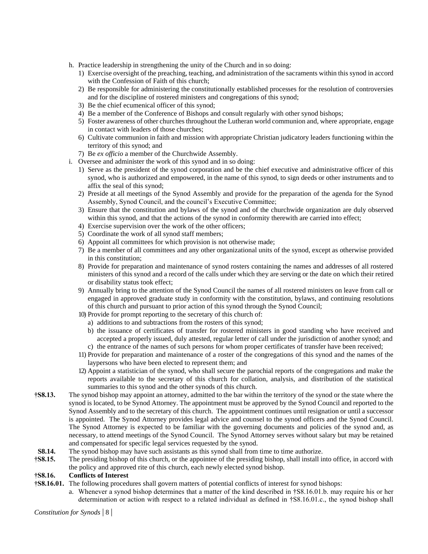- h. Practice leadership in strengthening the unity of the Church and in so doing:
	- 1) Exercise oversight of the preaching, teaching, and administration of the sacraments within this synod in accord with the Confession of Faith of this church;
	- 2) Be responsible for administering the constitutionally established processes for the resolution of controversies and for the discipline of rostered ministers and congregations of this synod;
	- 3) Be the chief ecumenical officer of this synod;
	- 4) Be a member of the Conference of Bishops and consult regularly with other synod bishops;
	- 5) Foster awareness of other churches throughout the Lutheran world communion and, where appropriate, engage in contact with leaders of those churches;
	- 6) Cultivate communion in faith and mission with appropriate Christian judicatory leaders functioning within the territory of this synod; and
	- 7) Be *ex officio* a member of the Churchwide Assembly.
- i. Oversee and administer the work of this synod and in so doing:
	- 1) Serve as the president of the synod corporation and be the chief executive and administrative officer of this synod, who is authorized and empowered, in the name of this synod, to sign deeds or other instruments and to affix the seal of this synod;
	- 2) Preside at all meetings of the Synod Assembly and provide for the preparation of the agenda for the Synod Assembly, Synod Council, and the council's Executive Committee;
	- 3) Ensure that the constitution and bylaws of the synod and of the churchwide organization are duly observed within this synod, and that the actions of the synod in conformity therewith are carried into effect;
	- 4) Exercise supervision over the work of the other officers;
	- 5) Coordinate the work of all synod staff members;
	- 6) Appoint all committees for which provision is not otherwise made;
	- 7) Be a member of all committees and any other organizational units of the synod, except as otherwise provided in this constitution;
	- 8) Provide for preparation and maintenance of synod rosters containing the names and addresses of all rostered ministers of this synod and a record of the calls under which they are serving or the date on which their retired or disability status took effect;
	- 9) Annually bring to the attention of the Synod Council the names of all rostered ministers on leave from call or engaged in approved graduate study in conformity with the constitution, bylaws, and continuing resolutions of this church and pursuant to prior action of this synod through the Synod Council;
	- 10) Provide for prompt reporting to the secretary of this church of:
		- a) additions to and subtractions from the rosters of this synod;
		- b) the issuance of certificates of transfer for rostered ministers in good standing who have received and accepted a properly issued, duly attested, regular letter of call under the jurisdiction of another synod; and c) the entrance of the names of such persons for whom proper certificates of transfer have been received;
	- 11) Provide for preparation and maintenance of a roster of the congregations of this synod and the names of the laypersons who have been elected to represent them; and
	- 12) Appoint a statistician of the synod, who shall secure the parochial reports of the congregations and make the reports available to the secretary of this church for collation, analysis, and distribution of the statistical summaries to this synod and the other synods of this church.
- **†S8.13.** The synod bishop may appoint an attorney, admitted to the bar within the territory of the synod or the state where the synod is located, to be Synod Attorney. The appointment must be approved by the Synod Council and reported to the Synod Assembly and to the secretary of this church. The appointment continues until resignation or until a successor is appointed. The Synod Attorney provides legal advice and counsel to the synod officers and the Synod Council. The Synod Attorney is expected to be familiar with the governing documents and policies of the synod and, as necessary, to attend meetings of the Synod Council. The Synod Attorney serves without salary but may be retained and compensated for specific legal services requested by the synod.
- **S8.14.** The synod bishop may have such assistants as this synod shall from time to time authorize.
- **†S8.15.** The presiding bishop of this church, or the appointee of the presiding bishop, shall install into office, in accord with the policy and approved rite of this church, each newly elected synod bishop.

#### **†S8.16. Conflicts of Interest**

- **†S8.16.01.** The following procedures shall govern matters of potential conflicts of interest for synod bishops:
	- a. Whenever a synod bishop determines that a matter of the kind described in †S8.16.01.b. may require his or her determination or action with respect to a related individual as defined in †S8.16.01.c., the synod bishop shall

*Constitution for Synods* | 8 |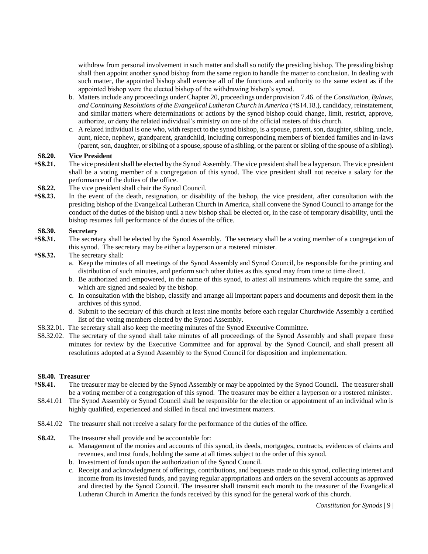withdraw from personal involvement in such matter and shall so notify the presiding bishop. The presiding bishop shall then appoint another synod bishop from the same region to handle the matter to conclusion. In dealing with such matter, the appointed bishop shall exercise all of the functions and authority to the same extent as if the appointed bishop were the elected bishop of the withdrawing bishop's synod.

- b. Matters include any proceedings under Chapter 20, proceedings under provision 7.46. of the *Constitution, Bylaws, and Continuing Resolutions of the Evangelical Lutheran Church in America* (†S14.18.), candidacy, reinstatement, and similar matters where determinations or actions by the synod bishop could change, limit, restrict, approve, authorize, or deny the related individual's ministry on one of the official rosters of this church.
- c. A related individual is one who, with respect to the synod bishop, is a spouse, parent, son, daughter, sibling, uncle, aunt, niece, nephew, grandparent, grandchild, including corresponding members of blended families and in-laws (parent, son, daughter, or sibling of a spouse, spouse of a sibling, or the parent or sibling of the spouse of a sibling).

#### **S8.20. Vice President**

- **†S8.21.** The vice president shall be elected by the Synod Assembly. The vice president shall be a layperson. The vice president shall be a voting member of a congregation of this synod. The vice president shall not receive a salary for the performance of the duties of the office.
- **S8.22.** The vice president shall chair the Synod Council.
- **†S8.23.** In the event of the death, resignation, or disability of the bishop, the vice president, after consultation with the presiding bishop of the Evangelical Lutheran Church in America, shall convene the Synod Council to arrange for the conduct of the duties of the bishop until a new bishop shall be elected or, in the case of temporary disability, until the bishop resumes full performance of the duties of the office.

#### **S8.30. Secretary**

**†S8.31.** The secretary shall be elected by the Synod Assembly. The secretary shall be a voting member of a congregation of this synod. The secretary may be either a layperson or a rostered minister.

#### **†S8.32.** The secretary shall:

- a. Keep the minutes of all meetings of the Synod Assembly and Synod Council, be responsible for the printing and distribution of such minutes, and perform such other duties as this synod may from time to time direct.
- b. Be authorized and empowered, in the name of this synod, to attest all instruments which require the same, and which are signed and sealed by the bishop.
- c. In consultation with the bishop, classify and arrange all important papers and documents and deposit them in the archives of this synod.
- d. Submit to the secretary of this church at least nine months before each regular Churchwide Assembly a certified list of the voting members elected by the Synod Assembly.
- S8.32.01. The secretary shall also keep the meeting minutes of the Synod Executive Committee.
- S8.32.02. The secretary of the synod shall take minutes of all proceedings of the Synod Assembly and shall prepare these minutes for review by the Executive Committee and for approval by the Synod Council, and shall present all resolutions adopted at a Synod Assembly to the Synod Council for disposition and implementation.

#### **S8.40. Treasurer**

- **†S8.41.** The treasurer may be elected by the Synod Assembly or may be appointed by the Synod Council. The treasurer shall be a voting member of a congregation of this synod. The treasurer may be either a layperson or a rostered minister.
- S8.41.01 The Synod Assembly or Synod Council shall be responsible for the election or appointment of an individual who is highly qualified, experienced and skilled in fiscal and investment matters.
- S8.41.02 The treasurer shall not receive a salary for the performance of the duties of the office.
- **S8.42.** The treasurer shall provide and be accountable for:
	- a. Management of the monies and accounts of this synod, its deeds, mortgages, contracts, evidences of claims and revenues, and trust funds, holding the same at all times subject to the order of this synod.
	- b. Investment of funds upon the authorization of the Synod Council.
	- c. Receipt and acknowledgment of offerings, contributions, and bequests made to this synod, collecting interest and income from its invested funds, and paying regular appropriations and orders on the several accounts as approved and directed by the Synod Council. The treasurer shall transmit each month to the treasurer of the Evangelical Lutheran Church in America the funds received by this synod for the general work of this church.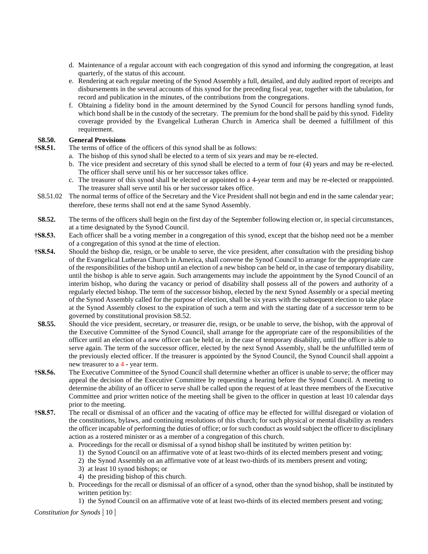- d. Maintenance of a regular account with each congregation of this synod and informing the congregation, at least quarterly, of the status of this account.
- e. Rendering at each regular meeting of the Synod Assembly a full, detailed, and duly audited report of receipts and disbursements in the several accounts of this synod for the preceding fiscal year, together with the tabulation, for record and publication in the minutes, of the contributions from the congregations.
- f. Obtaining a fidelity bond in the amount determined by the Synod Council for persons handling synod funds, which bond shall be in the custody of the secretary. The premium for the bond shall be paid by this synod. Fidelity coverage provided by the Evangelical Lutheran Church in America shall be deemed a fulfillment of this requirement.

#### **S8.50. General Provisions**

- **†S8.51.** The terms of office of the officers of this synod shall be as follows:
	- a. The bishop of this synod shall be elected to a term of six years and may be re-elected.
		- b. The vice president and secretary of this synod shall be elected to a term of four (4) years and may be re-elected. The officer shall serve until his or her successor takes office.
		- c. The treasurer of this synod shall be elected or appointed to a 4-year term and may be re-elected or reappointed. The treasurer shall serve until his or her successor takes office.
- S8.51.02 The normal terms of office of the Secretary and the Vice President shall not begin and end in the same calendar year; therefore, these terms shall not end at the same Synod Assembly.
- **S8.52.** The terms of the officers shall begin on the first day of the September following election or, in special circumstances, at a time designated by the Synod Council.
- **†S8.53.** Each officer shall be a voting member in a congregation of this synod, except that the bishop need not be a member of a congregation of this synod at the time of election.
- **†S8.54.** Should the bishop die, resign, or be unable to serve, the vice president, after consultation with the presiding bishop of the Evangelical Lutheran Church in America, shall convene the Synod Council to arrange for the appropriate care of the responsibilities of the bishop until an election of a new bishop can be held or, in the case of temporary disability, until the bishop is able to serve again. Such arrangements may include the appointment by the Synod Council of an interim bishop, who during the vacancy or period of disability shall possess all of the powers and authority of a regularly elected bishop. The term of the successor bishop, elected by the next Synod Assembly or a special meeting of the Synod Assembly called for the purpose of election, shall be six years with the subsequent election to take place at the Synod Assembly closest to the expiration of such a term and with the starting date of a successor term to be governed by constitutional provision S8.52.
- **S8.55.** Should the vice president, secretary, or treasurer die, resign, or be unable to serve, the bishop, with the approval of the Executive Committee of the Synod Council, shall arrange for the appropriate care of the responsibilities of the officer until an election of a new officer can be held or, in the case of temporary disability, until the officer is able to serve again. The term of the successor officer, elected by the next Synod Assembly, shall be the unfulfilled term of the previously elected officer. If the treasurer is appointed by the Synod Council, the Synod Council shall appoint a new treasurer to a 4 **-** year term.
- **†S8.56.** The Executive Committee of the Synod Council shall determine whether an officer is unable to serve; the officer may appeal the decision of the Executive Committee by requesting a hearing before the Synod Council. A meeting to determine the ability of an officer to serve shall be called upon the request of at least three members of the Executive Committee and prior written notice of the meeting shall be given to the officer in question at least 10 calendar days prior to the meeting.
- **†S8.57.** The recall or dismissal of an officer and the vacating of office may be effected for willful disregard or violation of the constitutions, bylaws, and continuing resolutions of this church; for such physical or mental disability as renders the officer incapable of performing the duties of office; or for such conduct as would subject the officer to disciplinary action as a rostered minister or as a member of a congregation of this church.
	- a. Proceedings for the recall or dismissal of a synod bishop shall be instituted by written petition by:
		- 1) the Synod Council on an affirmative vote of at least two-thirds of its elected members present and voting;
		- 2) the Synod Assembly on an affirmative vote of at least two-thirds of its members present and voting;
		- 3) at least 10 synod bishops; or
		- 4) the presiding bishop of this church.
	- b. Proceedings for the recall or dismissal of an officer of a synod, other than the synod bishop, shall be instituted by written petition by:
		- 1) the Synod Council on an affirmative vote of at least two-thirds of its elected members present and voting;

*Constitution for Synods* | 10 |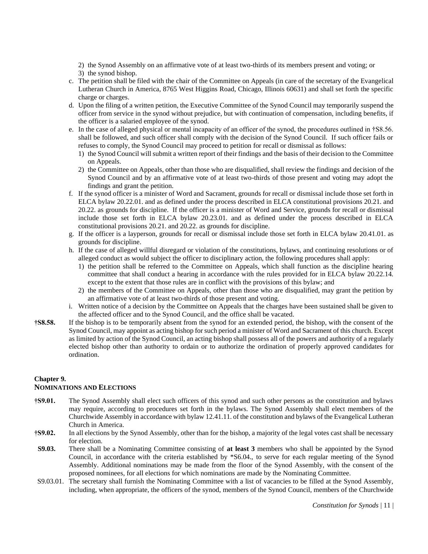2) the Synod Assembly on an affirmative vote of at least two-thirds of its members present and voting; or 3) the synod bishop.

- c. The petition shall be filed with the chair of the Committee on Appeals (in care of the secretary of the Evangelical Lutheran Church in America, 8765 West Higgins Road, Chicago, Illinois 60631) and shall set forth the specific charge or charges.
- d. Upon the filing of a written petition, the Executive Committee of the Synod Council may temporarily suspend the officer from service in the synod without prejudice, but with continuation of compensation, including benefits, if the officer is a salaried employee of the synod.
- e. In the case of alleged physical or mental incapacity of an officer of the synod, the procedures outlined in †S8.56. shall be followed, and such officer shall comply with the decision of the Synod Council. If such officer fails or refuses to comply, the Synod Council may proceed to petition for recall or dismissal as follows:
	- 1) the Synod Council will submit a written report of their findings and the basis of their decision to the Committee on Appeals.
	- 2) the Committee on Appeals, other than those who are disqualified, shall review the findings and decision of the Synod Council and by an affirmative vote of at least two-thirds of those present and voting may adopt the findings and grant the petition.
- f. If the synod officer is a minister of Word and Sacrament, grounds for recall or dismissal include those set forth in ELCA bylaw 20.22.01. and as defined under the process described in ELCA constitutional provisions 20.21. and 20.22. as grounds for discipline. If the officer is a minister of Word and Service, grounds for recall or dismissal include those set forth in ELCA bylaw 20.23.01. and as defined under the process described in ELCA constitutional provisions 20.21. and 20.22. as grounds for discipline.
- g. If the officer is a layperson, grounds for recall or dismissal include those set forth in ELCA bylaw 20.41.01. as grounds for discipline.
- h. If the case of alleged willful disregard or violation of the constitutions, bylaws, and continuing resolutions or of alleged conduct as would subject the officer to disciplinary action, the following procedures shall apply:
	- 1) the petition shall be referred to the Committee on Appeals, which shall function as the discipline hearing committee that shall conduct a hearing in accordance with the rules provided for in ELCA bylaw 20.22.14. except to the extent that those rules are in conflict with the provisions of this bylaw; and
	- 2) the members of the Committee on Appeals, other than those who are disqualified, may grant the petition by an affirmative vote of at least two-thirds of those present and voting.
- i. Written notice of a decision by the Committee on Appeals that the charges have been sustained shall be given to the affected officer and to the Synod Council, and the office shall be vacated.
- **†S8.58.** If the bishop is to be temporarily absent from the synod for an extended period, the bishop, with the consent of the Synod Council, may appoint as acting bishop for such period a minister of Word and Sacrament of this church. Except as limited by action of the Synod Council, an acting bishop shall possess all of the powers and authority of a regularly elected bishop other than authority to ordain or to authorize the ordination of properly approved candidates for ordination.

#### **Chapter 9. NOMINATIONS AND ELECTIONS**

- **†S9.01.** The Synod Assembly shall elect such officers of this synod and such other persons as the constitution and bylaws may require, according to procedures set forth in the bylaws. The Synod Assembly shall elect members of the Churchwide Assembly in accordance with bylaw 12.41.11. of the constitution and bylaws of the Evangelical Lutheran Church in America.
- **†S9.02.** In all elections by the Synod Assembly, other than for the bishop, a majority of the legal votes cast shall be necessary for election.
- **S9.03.** There shall be a Nominating Committee consisting of **at least 3** members who shall be appointed by the Synod Council, in accordance with the criteria established by \*S6.04., to serve for each regular meeting of the Synod Assembly. Additional nominations may be made from the floor of the Synod Assembly, with the consent of the proposed nominees, for all elections for which nominations are made by the Nominating Committee.
- S9.03.01. The secretary shall furnish the Nominating Committee with a list of vacancies to be filled at the Synod Assembly, including, when appropriate, the officers of the synod, members of the Synod Council, members of the Churchwide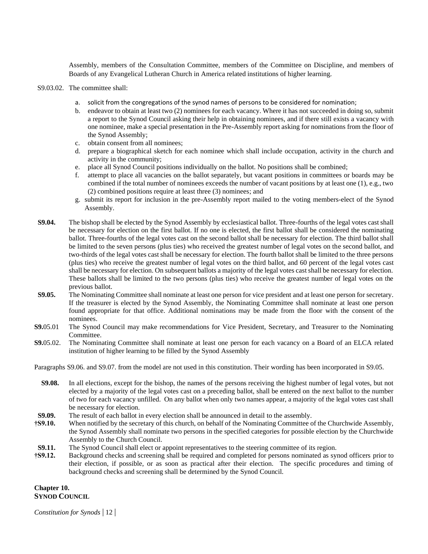Assembly, members of the Consultation Committee, members of the Committee on Discipline, and members of Boards of any Evangelical Lutheran Church in America related institutions of higher learning.

- S9.03.02. The committee shall:
	- a. solicit from the congregations of the synod names of persons to be considered for nomination;
	- b. endeavor to obtain at least two (2) nominees for each vacancy. Where it has not succeeded in doing so, submit a report to the Synod Council asking their help in obtaining nominees, and if there still exists a vacancy with one nominee, make a special presentation in the Pre-Assembly report asking for nominations from the floor of the Synod Assembly;
	- c. obtain consent from all nominees;
	- d. prepare a biographical sketch for each nominee which shall include occupation, activity in the church and activity in the community;
	- e. place all Synod Council positions individually on the ballot. No positions shall be combined;
	- f. attempt to place all vacancies on the ballot separately, but vacant positions in committees or boards may be combined if the total number of nominees exceeds the number of vacant positions by at least one (1), e.g., two (2) combined positions require at least three (3) nominees; and
	- g. submit its report for inclusion in the pre-Assembly report mailed to the voting members-elect of the Synod Assembly.
- **S9.04.** The bishop shall be elected by the Synod Assembly by ecclesiastical ballot. Three-fourths of the legal votes cast shall be necessary for election on the first ballot. If no one is elected, the first ballot shall be considered the nominating ballot. Three-fourths of the legal votes cast on the second ballot shall be necessary for election. The third ballot shall be limited to the seven persons (plus ties) who received the greatest number of legal votes on the second ballot, and two-thirds of the legal votes cast shall be necessary for election. The fourth ballot shall be limited to the three persons (plus ties) who receive the greatest number of legal votes on the third ballot, and 60 percent of the legal votes cast shall be necessary for election. On subsequent ballots a majority of the legal votes cast shall be necessary for election. These ballots shall be limited to the two persons (plus ties) who receive the greatest number of legal votes on the previous ballot.
- **S9.05.** The Nominating Committee shall nominate at least one person for vice president and at least one person for secretary. If the treasurer is elected by the Synod Assembly, the Nominating Committee shall nominate at least one person found appropriate for that office. Additional nominations may be made from the floor with the consent of the nominees.
- **S9.**05.01 The Synod Council may make recommendations for Vice President, Secretary, and Treasurer to the Nominating Committee.
- **S9.**05.02. The Nominating Committee shall nominate at least one person for each vacancy on a Board of an ELCA related institution of higher learning to be filled by the Synod Assembly

Paragraphs S9.06. and S9.07. from the model are not used in this constitution. Their wording has been incorporated in S9.05.

- **S9.08.** In all elections, except for the bishop, the names of the persons receiving the highest number of legal votes, but not elected by a majority of the legal votes cast on a preceding ballot, shall be entered on the next ballot to the number of two for each vacancy unfilled. On any ballot when only two names appear, a majority of the legal votes cast shall be necessary for election.
- **S9.09.** The result of each ballot in every election shall be announced in detail to the assembly.
- **†S9.10.** When notified by the secretary of this church, on behalf of the Nominating Committee of the Churchwide Assembly, the Synod Assembly shall nominate two persons in the specified categories for possible election by the Churchwide Assembly to the Church Council.
- **S9.11.** The Synod Council shall elect or appoint representatives to the steering committee of its region.
- **†S9.12.** Background checks and screening shall be required and completed for persons nominated as synod officers prior to their election, if possible, or as soon as practical after their election. The specific procedures and timing of background checks and screening shall be determined by the Synod Council.

#### **Chapter 10. SYNOD COUNCIL**

*Constitution for Synods* | 12 |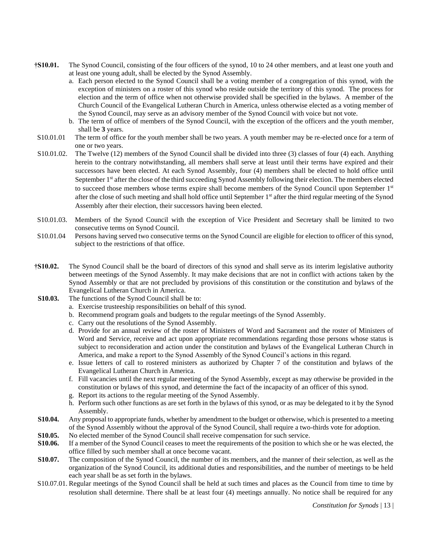- **†S10.01.** The Synod Council, consisting of the four officers of the synod, 10 to 24 other members, and at least one youth and at least one young adult, shall be elected by the Synod Assembly.
	- a. Each person elected to the Synod Council shall be a voting member of a congregation of this synod, with the exception of ministers on a roster of this synod who reside outside the territory of this synod. The process for election and the term of office when not otherwise provided shall be specified in the bylaws. A member of the Church Council of the Evangelical Lutheran Church in America, unless otherwise elected as a voting member of the Synod Council, may serve as an advisory member of the Synod Council with voice but not vote.
	- b. The term of office of members of the Synod Council, with the exception of the officers and the youth member, shall be **3** years.
- S10.01.01 The term of office for the youth member shall be two years. A youth member may be re-elected once for a term of one or two years.
- S10.01.02. The Twelve (12) members of the Synod Council shall be divided into three (3) classes of four (4) each. Anything herein to the contrary notwithstanding, all members shall serve at least until their terms have expired and their successors have been elected. At each Synod Assembly, four (4) members shall be elected to hold office until September 1<sup>st</sup> after the close of the third succeeding Synod Assembly following their election. The members elected to succeed those members whose terms expire shall become members of the Synod Council upon September 1st after the close of such meeting and shall hold office until September  $1<sup>st</sup>$  after the third regular meeting of the Synod Assembly after their election, their successors having been elected.
- S10.01.03. Members of the Synod Council with the exception of Vice President and Secretary shall be limited to two consecutive terms on Synod Council.
- S10.01.04 Persons having served two consecutive terms on the Synod Council are eligible for election to officer of this synod, subject to the restrictions of that office.
- **†S10.02.** The Synod Council shall be the board of directors of this synod and shall serve as its interim legislative authority between meetings of the Synod Assembly. It may make decisions that are not in conflict with actions taken by the Synod Assembly or that are not precluded by provisions of this constitution or the constitution and bylaws of the Evangelical Lutheran Church in America.
- **S10.03.** The functions of the Synod Council shall be to:
	- a. Exercise trusteeship responsibilities on behalf of this synod.
	- b. Recommend program goals and budgets to the regular meetings of the Synod Assembly.
	- c. Carry out the resolutions of the Synod Assembly.
	- d. Provide for an annual review of the roster of Ministers of Word and Sacrament and the roster of Ministers of Word and Service, receive and act upon appropriate recommendations regarding those persons whose status is subject to reconsideration and action under the constitution and bylaws of the Evangelical Lutheran Church in America, and make a report to the Synod Assembly of the Synod Council's actions in this regard.
	- e. Issue letters of call to rostered ministers as authorized by Chapter 7 of the constitution and bylaws of the Evangelical Lutheran Church in America.
	- f. Fill vacancies until the next regular meeting of the Synod Assembly, except as may otherwise be provided in the constitution or bylaws of this synod, and determine the fact of the incapacity of an officer of this synod.
	- g. Report its actions to the regular meeting of the Synod Assembly.
	- h. Perform such other functions as are set forth in the bylaws of this synod, or as may be delegated to it by the Synod Assembly.
- **S10.04.** Any proposal to appropriate funds, whether by amendment to the budget or otherwise, which is presented to a meeting of the Synod Assembly without the approval of the Synod Council, shall require a two-thirds vote for adoption.
- **S10.05.** No elected member of the Synod Council shall receive compensation for such service.
- **S10.06.** If a member of the Synod Council ceases to meet the requirements of the position to which she or he was elected, the office filled by such member shall at once become vacant.
- **S10.07.** The composition of the Synod Council, the number of its members, and the manner of their selection, as well as the organization of the Synod Council, its additional duties and responsibilities, and the number of meetings to be held each year shall be as set forth in the bylaws.
- S10.07.01. Regular meetings of the Synod Council shall be held at such times and places as the Council from time to time by resolution shall determine. There shall be at least four (4) meetings annually. No notice shall be required for any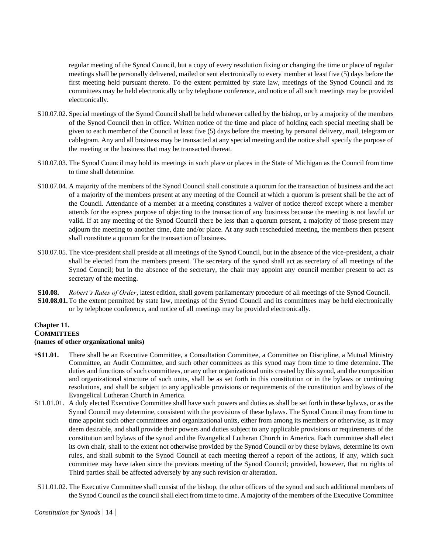regular meeting of the Synod Council, but a copy of every resolution fixing or changing the time or place of regular meetings shall be personally delivered, mailed or sent electronically to every member at least five (5) days before the first meeting held pursuant thereto. To the extent permitted by state law, meetings of the Synod Council and its committees may be held electronically or by telephone conference, and notice of all such meetings may be provided electronically.

- S10.07.02.Special meetings of the Synod Council shall be held whenever called by the bishop, or by a majority of the members of the Synod Council then in office. Written notice of the time and place of holding each special meeting shall be given to each member of the Council at least five (5) days before the meeting by personal delivery, mail, telegram or cablegram. Any and all business may be transacted at any special meeting and the notice shall specify the purpose of the meeting or the business that may be transacted thereat.
- S10.07.03. The Synod Council may hold its meetings in such place or places in the State of Michigan as the Council from time to time shall determine.
- S10.07.04. A majority of the members of the Synod Council shall constitute a quorum for the transaction of business and the act of a majority of the members present at any meeting of the Council at which a quorum is present shall be the act of the Council. Attendance of a member at a meeting constitutes a waiver of notice thereof except where a member attends for the express purpose of objecting to the transaction of any business because the meeting is not lawful or valid. If at any meeting of the Synod Council there be less than a quorum present, a majority of those present may adjourn the meeting to another time, date and/or place. At any such rescheduled meeting, the members then present shall constitute a quorum for the transaction of business.
- S10.07.05. The vice-president shall preside at all meetings of the Synod Council, but in the absence of the vice-president, a chair shall be elected from the members present. The secretary of the synod shall act as secretary of all meetings of the Synod Council; but in the absence of the secretary, the chair may appoint any council member present to act as secretary of the meeting.
- **S10.08.** *Robert's Rules of Order*, latest edition, shall govern parliamentary procedure of all meetings of the Synod Council. **S10.08.01.** To the extent permitted by state law, meetings of the Synod Council and its committees may be held electronically or by telephone conference, and notice of all meetings may be provided electronically.

#### **Chapter 11.**

#### **COMMITTEES**

#### **(names of other organizational units)**

- **†S11.01.** There shall be an Executive Committee, a Consultation Committee, a Committee on Discipline, a Mutual Ministry Committee, an Audit Committee, and such other committees as this synod may from time to time determine. The duties and functions of such committees, or any other organizational units created by this synod, and the composition and organizational structure of such units, shall be as set forth in this constitution or in the bylaws or continuing resolutions, and shall be subject to any applicable provisions or requirements of the constitution and bylaws of the Evangelical Lutheran Church in America.
- S11.01.01. A duly elected Executive Committee shall have such powers and duties as shall be set forth in these bylaws, or as the Synod Council may determine, consistent with the provisions of these bylaws. The Synod Council may from time to time appoint such other committees and organizational units, either from among its members or otherwise, as it may deem desirable, and shall provide their powers and duties subject to any applicable provisions or requirements of the constitution and bylaws of the synod and the Evangelical Lutheran Church in America. Each committee shall elect its own chair, shall to the extent not otherwise provided by the Synod Council or by these bylaws, determine its own rules, and shall submit to the Synod Council at each meeting thereof a report of the actions, if any, which such committee may have taken since the previous meeting of the Synod Council; provided, however, that no rights of Third parties shall be affected adversely by any such revision or alteration.
- S11.01.02. The Executive Committee shall consist of the bishop, the other officers of the synod and such additional members of the Synod Council as the council shall elect from time to time. A majority of the members of the Executive Committee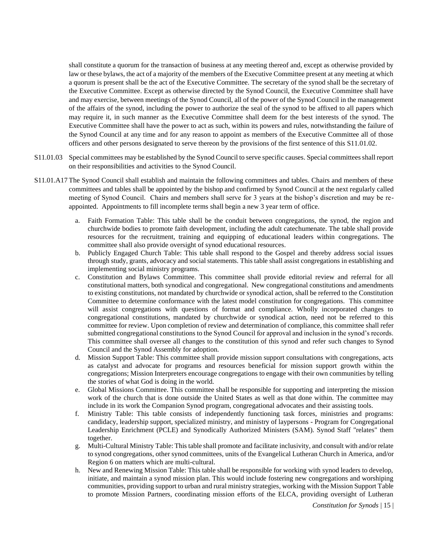shall constitute a quorum for the transaction of business at any meeting thereof and, except as otherwise provided by law or these bylaws, the act of a majority of the members of the Executive Committee present at any meeting at which a quorum is present shall be the act of the Executive Committee. The secretary of the synod shall be the secretary of the Executive Committee. Except as otherwise directed by the Synod Council, the Executive Committee shall have and may exercise, between meetings of the Synod Council, all of the power of the Synod Council in the management of the affairs of the synod, including the power to authorize the seal of the synod to be affixed to all papers which may require it, in such manner as the Executive Committee shall deem for the best interests of the synod. The Executive Committee shall have the power to act as such, within its powers and rules, notwithstanding the failure of the Synod Council at any time and for any reason to appoint as members of the Executive Committee all of those officers and other persons designated to serve thereon by the provisions of the first sentence of this S11.01.02.

- S11.01.03 Special committees may be established by the Synod Council to serve specific causes. Special committees shall report on their responsibilities and activities to the Synod Council.
- S11.01.A17 The Synod Council shall establish and maintain the following committees and tables. Chairs and members of these committees and tables shall be appointed by the bishop and confirmed by Synod Council at the next regularly called meeting of Synod Council. Chairs and members shall serve for 3 years at the bishop's discretion and may be reappointed. Appointments to fill incomplete terms shall begin a new 3 year term of office.
	- a. Faith Formation Table: This table shall be the conduit between congregations, the synod, the region and churchwide bodies to promote faith development, including the adult catechumenate. The table shall provide resources for the recruitment, training and equipping of educational leaders within congregations. The committee shall also provide oversight of synod educational resources.
	- b. Publicly Engaged Church Table: This table shall respond to the Gospel and thereby address social issues through study, grants, advocacy and social statements. This table shall assist congregations in establishing and implementing social ministry programs.
	- c. Constitution and Bylaws Committee. This committee shall provide editorial review and referral for all constitutional matters, both synodical and congregational. New congregational constitutions and amendments to existing constitutions, not mandated by churchwide or synodical action, shall be referred to the Constitution Committee to determine conformance with the latest model constitution for congregations. This committee will assist congregations with questions of format and compliance. Wholly incorporated changes to congregational constitutions, mandated by churchwide or synodical action, need not be referred to this committee for review. Upon completion of review and determination of compliance, this committee shall refer submitted congregational constitutions to the Synod Council for approval and inclusion in the synod's records. This committee shall oversee all changes to the constitution of this synod and refer such changes to Synod Council and the Synod Assembly for adoption.
	- d. Mission Support Table: This committee shall provide mission support consultations with congregations, acts as catalyst and advocate for programs and resources beneficial for mission support growth within the congregations; Mission Interpreters encourage congregations to engage with their own communities by telling the stories of what God is doing in the world.
	- e. Global Missions Committee. This committee shall be responsible for supporting and interpreting the mission work of the church that is done outside the United States as well as that done within. The committee may include in its work the Companion Synod program, congregational advocates and their assisting tools.
	- f. Ministry Table: This table consists of independently functioning task forces, ministries and programs: candidacy, leadership support, specialized ministry, and ministry of laypersons - Program for Congregational Leadership Enrichment (PCLE) and Synodically Authorized Ministers (SAM). Synod Staff "relates" them together.
	- g. Multi-Cultural Ministry Table: This table shall promote and facilitate inclusivity, and consult with and/or relate to synod congregations, other synod committees, units of the Evangelical Lutheran Church in America, and/or Region 6 on matters which are multi-cultural.
	- h. New and Renewing Mission Table: This table shall be responsible for working with synod leaders to develop, initiate, and maintain a synod mission plan. This would include fostering new congregations and worshiping communities, providing support to urban and rural ministry strategies, working with the Mission Support Table to promote Mission Partners, coordinating mission efforts of the ELCA, providing oversight of Lutheran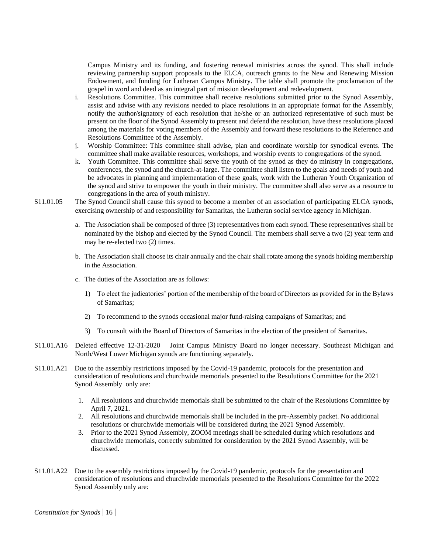Campus Ministry and its funding, and fostering renewal ministries across the synod. This shall include reviewing partnership support proposals to the ELCA, outreach grants to the New and Renewing Mission Endowment, and funding for Lutheran Campus Ministry. The table shall promote the proclamation of the gospel in word and deed as an integral part of mission development and redevelopment.

- i. Resolutions Committee. This committee shall receive resolutions submitted prior to the Synod Assembly, assist and advise with any revisions needed to place resolutions in an appropriate format for the Assembly, notify the author/signatory of each resolution that he/she or an authorized representative of such must be present on the floor of the Synod Assembly to present and defend the resolution, have these resolutions placed among the materials for voting members of the Assembly and forward these resolutions to the Reference and Resolutions Committee of the Assembly.
- j. Worship Committee: This committee shall advise, plan and coordinate worship for synodical events. The committee shall make available resources, workshops, and worship events to congregations of the synod.
- k. Youth Committee. This committee shall serve the youth of the synod as they do ministry in congregations, conferences, the synod and the church-at-large. The committee shall listen to the goals and needs of youth and be advocates in planning and implementation of these goals, work with the Lutheran Youth Organization of the synod and strive to empower the youth in their ministry. The committee shall also serve as a resource to congregations in the area of youth ministry.
- S11.01.05 The Synod Council shall cause this synod to become a member of an association of participating ELCA synods, exercising ownership of and responsibility for Samaritas, the Lutheran social service agency in Michigan.
	- a. The Association shall be composed of three (3) representatives from each synod. These representatives shall be nominated by the bishop and elected by the Synod Council. The members shall serve a two (2) year term and may be re-elected two (2) times.
	- b. The Association shall choose its chair annually and the chair shall rotate among the synods holding membership in the Association.
	- c. The duties of the Association are as follows:
		- 1) To elect the judicatories' portion of the membership of the board of Directors as provided for in the Bylaws of Samaritas;
		- 2) To recommend to the synods occasional major fund-raising campaigns of Samaritas; and
		- 3) To consult with the Board of Directors of Samaritas in the election of the president of Samaritas.
- S11.01.A16 Deleted effective 12-31-2020 Joint Campus Ministry Board no longer necessary. Southeast Michigan and North/West Lower Michigan synods are functioning separately.
- S11.01.A21 Due to the assembly restrictions imposed by the Covid-19 pandemic, protocols for the presentation and consideration of resolutions and churchwide memorials presented to the Resolutions Committee for the 2021 Synod Assembly only are:
	- 1. All resolutions and churchwide memorials shall be submitted to the chair of the Resolutions Committee by April 7, 2021.
	- 2. All resolutions and churchwide memorials shall be included in the pre-Assembly packet. No additional resolutions or churchwide memorials will be considered during the 2021 Synod Assembly.
	- 3. Prior to the 2021 Synod Assembly, ZOOM meetings shall be scheduled during which resolutions and churchwide memorials, correctly submitted for consideration by the 2021 Synod Assembly, will be discussed.
- S11.01.A22 Due to the assembly restrictions imposed by the Covid-19 pandemic, protocols for the presentation and consideration of resolutions and churchwide memorials presented to the Resolutions Committee for the 2022 Synod Assembly only are: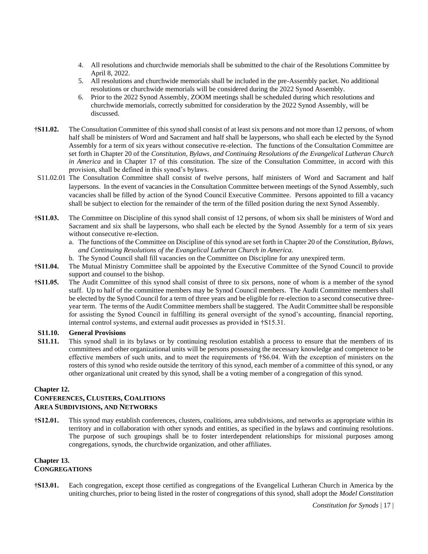- 4. All resolutions and churchwide memorials shall be submitted to the chair of the Resolutions Committee by April 8, 2022.
- 5. All resolutions and churchwide memorials shall be included in the pre-Assembly packet. No additional resolutions or churchwide memorials will be considered during the 2022 Synod Assembly.
- 6. Prior to the 2022 Synod Assembly, ZOOM meetings shall be scheduled during which resolutions and churchwide memorials, correctly submitted for consideration by the 2022 Synod Assembly, will be discussed.
- **†S11.02.** The Consultation Committee of this synod shall consist of at least six persons and not more than 12 persons, of whom half shall be ministers of Word and Sacrament and half shall be laypersons, who shall each be elected by the Synod Assembly for a term of six years without consecutive re-election. The functions of the Consultation Committee are set forth in Chapter 20 of the *Constitution, Bylaws, and Continuing Resolutions of the Evangelical Lutheran Church in America* and in Chapter 17 of this constitution. The size of the Consultation Committee, in accord with this provision, shall be defined in this synod's bylaws.
- S11.02.01 The Consultation Committee shall consist of twelve persons, half ministers of Word and Sacrament and half laypersons. In the event of vacancies in the Consultation Committee between meetings of the Synod Assembly, such vacancies shall be filled by action of the Synod Council Executive Committee. Persons appointed to fill a vacancy shall be subject to election for the remainder of the term of the filled position during the next Synod Assembly.
- **†S11.03.** The Committee on Discipline of this synod shall consist of 12 persons, of whom six shall be ministers of Word and Sacrament and six shall be laypersons, who shall each be elected by the Synod Assembly for a term of six years without consecutive re-election.
	- a. The functions of the Committee on Discipline of this synod are set forth in Chapter 20 of the *Constitution, Bylaws, and Continuing Resolutions of the Evangelical Lutheran Church in America.*
	- b. The Synod Council shall fill vacancies on the Committee on Discipline for any unexpired term.
- **†S11.04.** The Mutual Ministry Committee shall be appointed by the Executive Committee of the Synod Council to provide support and counsel to the bishop.
- **†S11.05.** The Audit Committee of this synod shall consist of three to six persons, none of whom is a member of the synod staff. Up to half of the committee members may be Synod Council members. The Audit Committee members shall be elected by the Synod Council for a term of three years and be eligible for re-election to a second consecutive threeyear term. The terms of the Audit Committee members shall be staggered. The Audit Committee shall be responsible for assisting the Synod Council in fulfilling its general oversight of the synod's accounting, financial reporting, internal control systems, and external audit processes as provided in †S15.31.

#### **S11.10. General Provisions**

**S11.11.** This synod shall in its bylaws or by continuing resolution establish a process to ensure that the members of its committees and other organizational units will be persons possessing the necessary knowledge and competence to be effective members of such units, and to meet the requirements of †S6.04. With the exception of ministers on the rosters of this synod who reside outside the territory of this synod, each member of a committee of this synod, or any other organizational unit created by this synod, shall be a voting member of a congregation of this synod.

#### **Chapter 12.**

#### **CONFERENCES, CLUSTERS, COALITIONS AREA SUBDIVISIONS, AND NETWORKS**

**†S12.01.** This synod may establish conferences, clusters, coalitions, area subdivisions, and networks as appropriate within its territory and in collaboration with other synods and entities, as specified in the bylaws and continuing resolutions. The purpose of such groupings shall be to foster interdependent relationships for missional purposes among congregations, synods, the churchwide organization, and other affiliates.

#### **Chapter 13. CONGREGATIONS**

**†S13.01.** Each congregation, except those certified as congregations of the Evangelical Lutheran Church in America by the uniting churches, prior to being listed in the roster of congregations of this synod, shall adopt the *Model Constitution*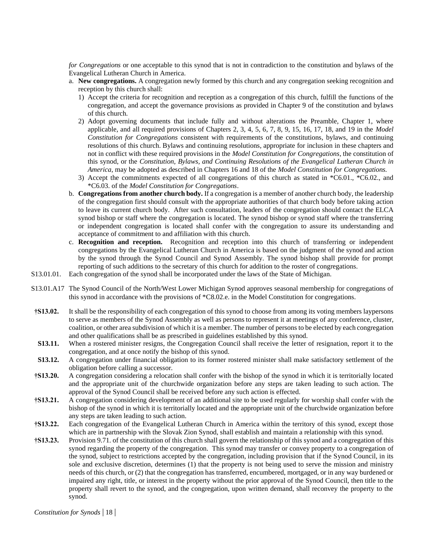*for Congregations* or one acceptable to this synod that is not in contradiction to the constitution and bylaws of the Evangelical Lutheran Church in America.

- a. **New congregations.** A congregation newly formed by this church and any congregation seeking recognition and reception by this church shall:
	- 1) Accept the criteria for recognition and reception as a congregation of this church, fulfill the functions of the congregation, and accept the governance provisions as provided in Chapter 9 of the constitution and bylaws of this church.
	- 2) Adopt governing documents that include fully and without alterations the Preamble, Chapter 1, where applicable, and all required provisions of Chapters 2, 3, 4, 5, 6, 7, 8, 9, 15, 16, 17, 18, and 19 in the *Model Constitution for Congregations* consistent with requirements of the constitutions, bylaws, and continuing resolutions of this church. Bylaws and continuing resolutions, appropriate for inclusion in these chapters and not in conflict with these required provisions in the *Model Constitution for Congregations*, the constitution of this synod, or the *Constitution, Bylaws, and Continuing Resolutions of the Evangelical Lutheran Church in America*, may be adopted as described in Chapters 16 and 18 of the *Model Constitution for Congregations.*
	- 3) Accept the commitments expected of all congregations of this church as stated in \*C6.01., \*C6.02., and \*C6.03. of the *Model Constitution for Congregations*.
- b. **Congregations from another church body.** If a congregation is a member of another church body, the leadership of the congregation first should consult with the appropriate authorities of that church body before taking action to leave its current church body. After such consultation, leaders of the congregation should contact the ELCA synod bishop or staff where the congregation is located. The synod bishop or synod staff where the transferring or independent congregation is located shall confer with the congregation to assure its understanding and acceptance of commitment to and affiliation with this church.
- c. **Recognition and reception.** Recognition and reception into this church of transferring or independent congregations by the Evangelical Lutheran Church in America is based on the judgment of the synod and action by the synod through the Synod Council and Synod Assembly. The synod bishop shall provide for prompt reporting of such additions to the secretary of this church for addition to the roster of congregations.
- S13.01.01. Each congregation of the synod shall be incorporated under the laws of the State of Michigan.
- S13.01.A17 The Synod Council of the North/West Lower Michigan Synod approves seasonal membership for congregations of this synod in accordance with the provisions of \*C8.02.e. in the Model Constitution for congregations.
- **†S13.02.** It shall be the responsibility of each congregation of this synod to choose from among its voting members laypersons to serve as members of the Synod Assembly as well as persons to represent it at meetings of any conference, cluster, coalition, or other area subdivision of which it is a member. The number of persons to be elected by each congregation and other qualifications shall be as prescribed in guidelines established by this synod.
- **S13.11.** When a rostered minister resigns, the Congregation Council shall receive the letter of resignation, report it to the congregation, and at once notify the bishop of this synod.
- **S13.12.** A congregation under financial obligation to its former rostered minister shall make satisfactory settlement of the obligation before calling a successor.
- **†S13.20.** A congregation considering a relocation shall confer with the bishop of the synod in which it is territorially located and the appropriate unit of the churchwide organization before any steps are taken leading to such action. The approval of the Synod Council shall be received before any such action is effected.
- **†S13.21.** A congregation considering development of an additional site to be used regularly for worship shall confer with the bishop of the synod in which it is territorially located and the appropriate unit of the churchwide organization before any steps are taken leading to such action.
- **†S13.22.** Each congregation of the Evangelical Lutheran Church in America within the territory of this synod, except those which are in partnership with the Slovak Zion Synod, shall establish and maintain a relationship with this synod.
- **†S13.23.** Provision 9.71. of the constitution of this church shall govern the relationship of this synod and a congregation of this synod regarding the property of the congregation. This synod may transfer or convey property to a congregation of the synod, subject to restrictions accepted by the congregation, including provision that if the Synod Council, in its sole and exclusive discretion, determines (1) that the property is not being used to serve the mission and ministry needs of this church, or (2) that the congregation has transferred, encumbered, mortgaged, or in any way burdened or impaired any right, title, or interest in the property without the prior approval of the Synod Council, then title to the property shall revert to the synod, and the congregation, upon written demand, shall reconvey the property to the synod.

*Constitution for Synods* | 18 |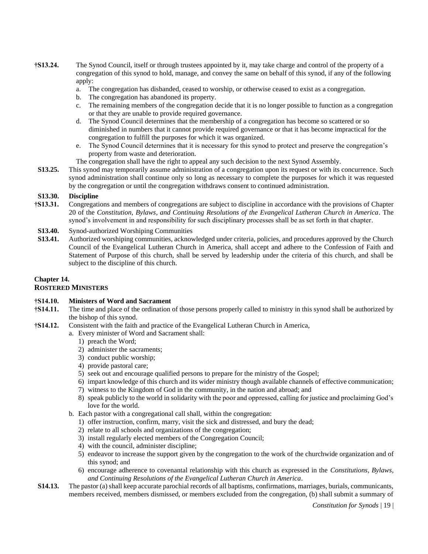- **†S13.24.** The Synod Council, itself or through trustees appointed by it, may take charge and control of the property of a congregation of this synod to hold, manage, and convey the same on behalf of this synod, if any of the following apply:
	- a. The congregation has disbanded, ceased to worship, or otherwise ceased to exist as a congregation.
	- b. The congregation has abandoned its property.
	- c. The remaining members of the congregation decide that it is no longer possible to function as a congregation or that they are unable to provide required governance.
	- d. The Synod Council determines that the membership of a congregation has become so scattered or so diminished in numbers that it cannot provide required governance or that it has become impractical for the congregation to fulfill the purposes for which it was organized.
	- e. The Synod Council determines that it is necessary for this synod to protect and preserve the congregation's property from waste and deterioration.
	- The congregation shall have the right to appeal any such decision to the next Synod Assembly.
- **S13.25.** This synod may temporarily assume administration of a congregation upon its request or with its concurrence. Such synod administration shall continue only so long as necessary to complete the purposes for which it was requested by the congregation or until the congregation withdraws consent to continued administration.

#### **S13.30. Discipline**

- **†S13.31.** Congregations and members of congregations are subject to discipline in accordance with the provisions of Chapter 20 of the *Constitution, Bylaws, and Continuing Resolutions of the Evangelical Lutheran Church in America*. The synod's involvement in and responsibility for such disciplinary processes shall be as set forth in that chapter.
- **S13.40.** Synod-authorized Worshiping Communities
- **S13.41.** Authorized worshiping communities, acknowledged under criteria, policies, and procedures approved by the Church Council of the Evangelical Lutheran Church in America, shall accept and adhere to the Confession of Faith and Statement of Purpose of this church, shall be served by leadership under the criteria of this church, and shall be subject to the discipline of this church.

#### **Chapter 14.**

#### **ROSTERED MINISTERS**

#### **†S14.10. Ministers of Word and Sacrament**

- **†S14.11.** The time and place of the ordination of those persons properly called to ministry in this synod shall be authorized by the bishop of this synod.
- **†S14.12.** Consistent with the faith and practice of the Evangelical Lutheran Church in America,
	- a. Every minister of Word and Sacrament shall:
		- 1) preach the Word;
		- 2) administer the sacraments;
		- 3) conduct public worship;
		- 4) provide pastoral care;
		- 5) seek out and encourage qualified persons to prepare for the ministry of the Gospel;
		- 6) impart knowledge of this church and its wider ministry though available channels of effective communication;
		- 7) witness to the Kingdom of God in the community, in the nation and abroad; and
		- 8) speak publicly to the world in solidarity with the poor and oppressed, calling for justice and proclaiming God's love for the world.
	- b. Each pastor with a congregational call shall, within the congregation:
		- 1) offer instruction, confirm, marry, visit the sick and distressed, and bury the dead;
		- 2) relate to all schools and organizations of the congregation;
		- 3) install regularly elected members of the Congregation Council;
		- 4) with the council, administer discipline;
		- 5) endeavor to increase the support given by the congregation to the work of the churchwide organization and of this synod; and
		- 6) encourage adherence to covenantal relationship with this church as expressed in the *Constitutions, Bylaws, and Continuing Resolutions of the Evangelical Lutheran Church in America*.
- **S14.13.** The pastor (a) shall keep accurate parochial records of all baptisms, confirmations, marriages, burials, communicants, members received, members dismissed, or members excluded from the congregation, (b) shall submit a summary of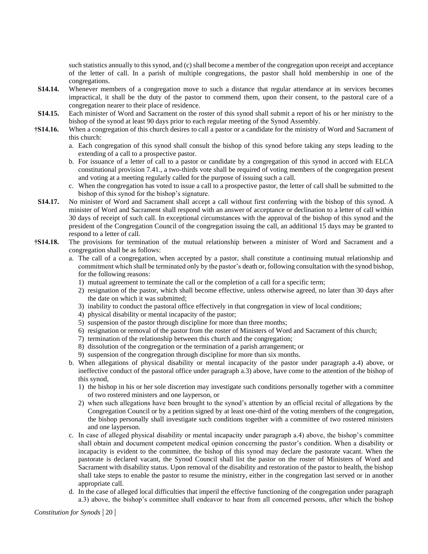such statistics annually to this synod, and (c) shall become a member of the congregation upon receipt and acceptance of the letter of call. In a parish of multiple congregations, the pastor shall hold membership in one of the congregations.

- **S14.14.** Whenever members of a congregation move to such a distance that regular attendance at its services becomes impractical, it shall be the duty of the pastor to commend them, upon their consent, to the pastoral care of a congregation nearer to their place of residence.
- **S14.15.** Each minister of Word and Sacrament on the roster of this synod shall submit a report of his or her ministry to the bishop of the synod at least 90 days prior to each regular meeting of the Synod Assembly.
- **†S14.16.** When a congregation of this church desires to call a pastor or a candidate for the ministry of Word and Sacrament of this church:
	- a. Each congregation of this synod shall consult the bishop of this synod before taking any steps leading to the extending of a call to a prospective pastor.
	- b. For issuance of a letter of call to a pastor or candidate by a congregation of this synod in accord with ELCA constitutional provision 7.41., a two-thirds vote shall be required of voting members of the congregation present and voting at a meeting regularly called for the purpose of issuing such a call.
	- c. When the congregation has voted to issue a call to a prospective pastor, the letter of call shall be submitted to the bishop of this synod for the bishop's signature.
- **S14.17.** No minister of Word and Sacrament shall accept a call without first conferring with the bishop of this synod. A minister of Word and Sacrament shall respond with an answer of acceptance or declination to a letter of call within 30 days of receipt of such call. In exceptional circumstances with the approval of the bishop of this synod and the president of the Congregation Council of the congregation issuing the call, an additional 15 days may be granted to respond to a letter of call.
- **†S14.18.** The provisions for termination of the mutual relationship between a minister of Word and Sacrament and a congregation shall be as follows:
	- a. The call of a congregation, when accepted by a pastor, shall constitute a continuing mutual relationship and commitment which shall be terminated only by the pastor's death or, following consultation with the synod bishop, for the following reasons:
		- 1) mutual agreement to terminate the call or the completion of a call for a specific term;
		- 2) resignation of the pastor, which shall become effective, unless otherwise agreed, no later than 30 days after the date on which it was submitted;
		- 3) inability to conduct the pastoral office effectively in that congregation in view of local conditions;
		- 4) physical disability or mental incapacity of the pastor;
		- 5) suspension of the pastor through discipline for more than three months;
		- 6) resignation or removal of the pastor from the roster of Ministers of Word and Sacrament of this church;
		- 7) termination of the relationship between this church and the congregation;
		- 8) dissolution of the congregation or the termination of a parish arrangement; or
		- 9) suspension of the congregation through discipline for more than six months.
	- b. When allegations of physical disability or mental incapacity of the pastor under paragraph a.4) above, or ineffective conduct of the pastoral office under paragraph a.3) above, have come to the attention of the bishop of this synod,
		- 1) the bishop in his or her sole discretion may investigate such conditions personally together with a committee of two rostered ministers and one layperson, or
		- 2) when such allegations have been brought to the synod's attention by an official recital of allegations by the Congregation Council or by a petition signed by at least one-third of the voting members of the congregation, the bishop personally shall investigate such conditions together with a committee of two rostered ministers and one layperson.
	- c. In case of alleged physical disability or mental incapacity under paragraph a.4) above, the bishop's committee shall obtain and document competent medical opinion concerning the pastor's condition. When a disability or incapacity is evident to the committee, the bishop of this synod may declare the pastorate vacant. When the pastorate is declared vacant, the Synod Council shall list the pastor on the roster of Ministers of Word and Sacrament with disability status. Upon removal of the disability and restoration of the pastor to health, the bishop shall take steps to enable the pastor to resume the ministry, either in the congregation last served or in another appropriate call.
	- d. In the case of alleged local difficulties that imperil the effective functioning of the congregation under paragraph a.3) above, the bishop's committee shall endeavor to hear from all concerned persons, after which the bishop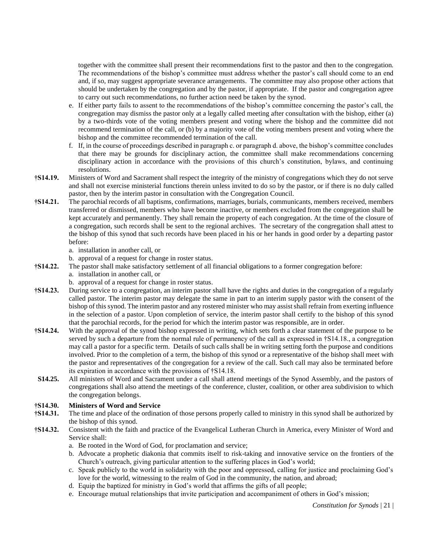together with the committee shall present their recommendations first to the pastor and then to the congregation. The recommendations of the bishop's committee must address whether the pastor's call should come to an end and, if so, may suggest appropriate severance arrangements. The committee may also propose other actions that should be undertaken by the congregation and by the pastor, if appropriate. If the pastor and congregation agree to carry out such recommendations, no further action need be taken by the synod.

- e. If either party fails to assent to the recommendations of the bishop's committee concerning the pastor's call, the congregation may dismiss the pastor only at a legally called meeting after consultation with the bishop, either (a) by a two-thirds vote of the voting members present and voting where the bishop and the committee did not recommend termination of the call, or (b) by a majority vote of the voting members present and voting where the bishop and the committee recommended termination of the call.
- f. If, in the course of proceedings described in paragraph c. or paragraph d. above, the bishop's committee concludes that there may be grounds for disciplinary action, the committee shall make recommendations concerning disciplinary action in accordance with the provisions of this church's constitution, bylaws, and continuing resolutions.
- **†S14.19.** Ministers of Word and Sacrament shall respect the integrity of the ministry of congregations which they do not serve and shall not exercise ministerial functions therein unless invited to do so by the pastor, or if there is no duly called pastor, then by the interim pastor in consultation with the Congregation Council.
- **†S14.21.** The parochial records of all baptisms, confirmations, marriages, burials, communicants, members received, members transferred or dismissed, members who have become inactive, or members excluded from the congregation shall be kept accurately and permanently. They shall remain the property of each congregation. At the time of the closure of a congregation, such records shall be sent to the regional archives. The secretary of the congregation shall attest to the bishop of this synod that such records have been placed in his or her hands in good order by a departing pastor before:

a. installation in another call, or

- b. approval of a request for change in roster status.
- **†S14.22.** The pastor shall make satisfactory settlement of all financial obligations to a former congregation before:
	- a. installation in another call, or
		- b. approval of a request for change in roster status.
- **†S14.23.** During service to a congregation, an interim pastor shall have the rights and duties in the congregation of a regularly called pastor. The interim pastor may delegate the same in part to an interim supply pastor with the consent of the bishop of this synod. The interim pastor and any rostered minister who may assist shall refrain from exerting influence in the selection of a pastor. Upon completion of service, the interim pastor shall certify to the bishop of this synod that the parochial records, for the period for which the interim pastor was responsible, are in order.
- **†S14.24.** With the approval of the synod bishop expressed in writing, which sets forth a clear statement of the purpose to be served by such a departure from the normal rule of permanency of the call as expressed in  $\frac{1}{1}S14.18$ ., a congregation may call a pastor for a specific term. Details of such calls shall be in writing setting forth the purpose and conditions involved. Prior to the completion of a term, the bishop of this synod or a representative of the bishop shall meet with the pastor and representatives of the congregation for a review of the call. Such call may also be terminated before its expiration in accordance with the provisions of †S14.18.
- **S14.25.** All ministers of Word and Sacrament under a call shall attend meetings of the Synod Assembly, and the pastors of congregations shall also attend the meetings of the conference, cluster, coalition, or other area subdivision to which the congregation belongs.

#### **†S14.30. Ministers of Word and Service**

- **†S14.31.** The time and place of the ordination of those persons properly called to ministry in this synod shall be authorized by the bishop of this synod.
- **†S14.32.** Consistent with the faith and practice of the Evangelical Lutheran Church in America, every Minister of Word and Service shall:
	- a. Be rooted in the Word of God, for proclamation and service;
	- b. Advocate a prophetic diakonia that commits itself to risk-taking and innovative service on the frontiers of the Church's outreach, giving particular attention to the suffering places in God's world;
	- c. Speak publicly to the world in solidarity with the poor and oppressed, calling for justice and proclaiming God's love for the world, witnessing to the realm of God in the community, the nation, and abroad;
	- d. Equip the baptized for ministry in God's world that affirms the gifts of all people;
	- e. Encourage mutual relationships that invite participation and accompaniment of others in God's mission;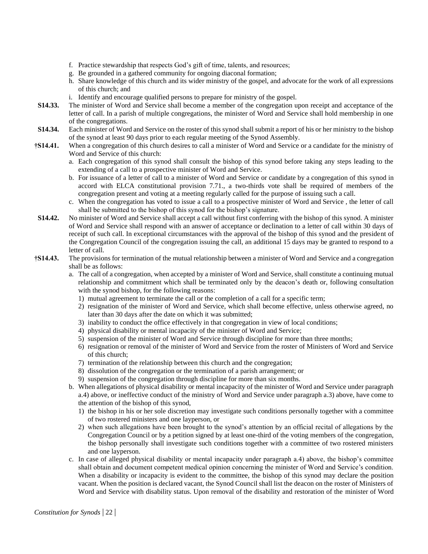- f. Practice stewardship that respects God's gift of time, talents, and resources;
- g. Be grounded in a gathered community for ongoing diaconal formation;
- h. Share knowledge of this church and its wider ministry of the gospel, and advocate for the work of all expressions of this church; and
- i. Identify and encourage qualified persons to prepare for ministry of the gospel.
- **S14.33.** The minister of Word and Service shall become a member of the congregation upon receipt and acceptance of the letter of call. In a parish of multiple congregations, the minister of Word and Service shall hold membership in one of the congregations.
- **S14.34.** Each minister of Word and Service on the roster of this synod shall submit a report of his or her ministry to the bishop of the synod at least 90 days prior to each regular meeting of the Synod Assembly.
- **†S14.41.** When a congregation of this church desires to call a minister of Word and Service or a candidate for the ministry of Word and Service of this church:
	- a. Each congregation of this synod shall consult the bishop of this synod before taking any steps leading to the extending of a call to a prospective minister of Word and Service.
	- b. For issuance of a letter of call to a minister of Word and Service or candidate by a congregation of this synod in accord with ELCA constitutional provision 7.71., a two-thirds vote shall be required of members of the congregation present and voting at a meeting regularly called for the purpose of issuing such a call.
	- c. When the congregation has voted to issue a call to a prospective minister of Word and Service , the letter of call shall be submitted to the bishop of this synod for the bishop's signature.
- **S14.42.** No minister of Word and Service shall accept a call without first conferring with the bishop of this synod. A minister of Word and Service shall respond with an answer of acceptance or declination to a letter of call within 30 days of receipt of such call. In exceptional circumstances with the approval of the bishop of this synod and the president of the Congregation Council of the congregation issuing the call, an additional 15 days may be granted to respond to a letter of call.
- **†S14.43.** The provisions for termination of the mutual relationship between a minister of Word and Service and a congregation shall be as follows:
	- a. The call of a congregation, when accepted by a minister of Word and Service, shall constitute a continuing mutual relationship and commitment which shall be terminated only by the deacon's death or, following consultation with the synod bishop, for the following reasons:
		- 1) mutual agreement to terminate the call or the completion of a call for a specific term;
		- 2) resignation of the minister of Word and Service, which shall become effective, unless otherwise agreed, no later than 30 days after the date on which it was submitted;
		- 3) inability to conduct the office effectively in that congregation in view of local conditions;
		- 4) physical disability or mental incapacity of the minister of Word and Service;
		- 5) suspension of the minister of Word and Service through discipline for more than three months;
		- 6) resignation or removal of the minister of Word and Service from the roster of Ministers of Word and Service of this church;
		- 7) termination of the relationship between this church and the congregation;
		- 8) dissolution of the congregation or the termination of a parish arrangement; or
		- 9) suspension of the congregation through discipline for more than six months.
	- b. When allegations of physical disability or mental incapacity of the minister of Word and Service under paragraph a.4) above, or ineffective conduct of the ministry of Word and Service under paragraph a.3) above, have come to the attention of the bishop of this synod,
		- 1) the bishop in his or her sole discretion may investigate such conditions personally together with a committee of two rostered ministers and one layperson, or
		- 2) when such allegations have been brought to the synod's attention by an official recital of allegations by the Congregation Council or by a petition signed by at least one-third of the voting members of the congregation, the bishop personally shall investigate such conditions together with a committee of two rostered ministers and one layperson.
	- c. In case of alleged physical disability or mental incapacity under paragraph a.4) above, the bishop's committee shall obtain and document competent medical opinion concerning the minister of Word and Service's condition. When a disability or incapacity is evident to the committee, the bishop of this synod may declare the position vacant. When the position is declared vacant, the Synod Council shall list the deacon on the roster of Ministers of Word and Service with disability status. Upon removal of the disability and restoration of the minister of Word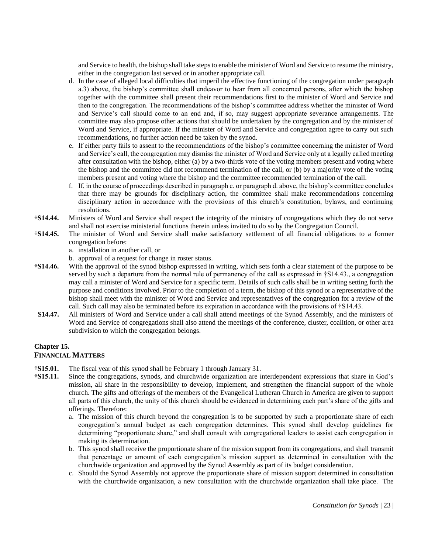and Service to health, the bishop shall take steps to enable the minister of Word and Service to resume the ministry, either in the congregation last served or in another appropriate call.

- d. In the case of alleged local difficulties that imperil the effective functioning of the congregation under paragraph a.3) above, the bishop's committee shall endeavor to hear from all concerned persons, after which the bishop together with the committee shall present their recommendations first to the minister of Word and Service and then to the congregation. The recommendations of the bishop's committee address whether the minister of Word and Service's call should come to an end and, if so, may suggest appropriate severance arrangements. The committee may also propose other actions that should be undertaken by the congregation and by the minister of Word and Service, if appropriate. If the minister of Word and Service and congregation agree to carry out such recommendations, no further action need be taken by the synod.
- e. If either party fails to assent to the recommendations of the bishop's committee concerning the minister of Word and Service's call, the congregation may dismiss the minister of Word and Service only at a legally called meeting after consultation with the bishop, either (a) by a two-thirds vote of the voting members present and voting where the bishop and the committee did not recommend termination of the call, or (b) by a majority vote of the voting members present and voting where the bishop and the committee recommended termination of the call.
- f. If, in the course of proceedings described in paragraph c. or paragraph d. above, the bishop's committee concludes that there may be grounds for disciplinary action, the committee shall make recommendations concerning disciplinary action in accordance with the provisions of this church's constitution, bylaws, and continuing resolutions.
- **†S14.44.** Ministers of Word and Service shall respect the integrity of the ministry of congregations which they do not serve and shall not exercise ministerial functions therein unless invited to do so by the Congregation Council.
- **†S14.45.** The minister of Word and Service shall make satisfactory settlement of all financial obligations to a former congregation before:
	- a. installation in another call, or
	- b. approval of a request for change in roster status.
- **†S14.46.** With the approval of the synod bishop expressed in writing, which sets forth a clear statement of the purpose to be served by such a departure from the normal rule of permanency of the call as expressed in  $\ddagger$ S14.43., a congregation may call a minister of Word and Service for a specific term. Details of such calls shall be in writing setting forth the purpose and conditions involved. Prior to the completion of a term, the bishop of this synod or a representative of the bishop shall meet with the minister of Word and Service and representatives of the congregation for a review of the call. Such call may also be terminated before its expiration in accordance with the provisions of †S14.43.
- **S14.47.** All ministers of Word and Service under a call shall attend meetings of the Synod Assembly, and the ministers of Word and Service of congregations shall also attend the meetings of the conference, cluster, coalition, or other area subdivision to which the congregation belongs.

#### **Chapter 15. FINANCIAL MATTERS**

- **†S15.01.** The fiscal year of this synod shall be February 1 through January 31.
- **†S15.11.** Since the congregations, synods, and churchwide organization are interdependent expressions that share in God's mission, all share in the responsibility to develop, implement, and strengthen the financial support of the whole church. The gifts and offerings of the members of the Evangelical Lutheran Church in America are given to support all parts of this church, the unity of this church should be evidenced in determining each part's share of the gifts and offerings. Therefore:
	- a. The mission of this church beyond the congregation is to be supported by such a proportionate share of each congregation's annual budget as each congregation determines. This synod shall develop guidelines for determining "proportionate share," and shall consult with congregational leaders to assist each congregation in making its determination.
	- b. This synod shall receive the proportionate share of the mission support from its congregations, and shall transmit that percentage or amount of each congregation's mission support as determined in consultation with the churchwide organization and approved by the Synod Assembly as part of its budget consideration.
	- c. Should the Synod Assembly not approve the proportionate share of mission support determined in consultation with the churchwide organization, a new consultation with the churchwide organization shall take place. The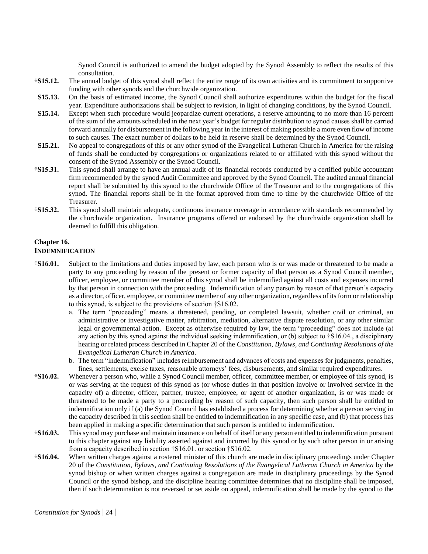Synod Council is authorized to amend the budget adopted by the Synod Assembly to reflect the results of this consultation.

- **†S15.12.** The annual budget of this synod shall reflect the entire range of its own activities and its commitment to supportive funding with other synods and the churchwide organization.
- **S15.13.** On the basis of estimated income, the Synod Council shall authorize expenditures within the budget for the fiscal year. Expenditure authorizations shall be subject to revision, in light of changing conditions, by the Synod Council.
- **S15.14.** Except when such procedure would jeopardize current operations, a reserve amounting to no more than 16 percent of the sum of the amounts scheduled in the next year's budget for regular distribution to synod causes shall be carried forward annually for disbursement in the following year in the interest of making possible a more even flow of income to such causes. The exact number of dollars to be held in reserve shall be determined by the Synod Council.
- **S15.21.** No appeal to congregations of this or any other synod of the Evangelical Lutheran Church in America for the raising of funds shall be conducted by congregations or organizations related to or affiliated with this synod without the consent of the Synod Assembly or the Synod Council.
- **†S15.31.** This synod shall arrange to have an annual audit of its financial records conducted by a certified public accountant firm recommended by the synod Audit Committee and approved by the Synod Council. The audited annual financial report shall be submitted by this synod to the churchwide Office of the Treasurer and to the congregations of this synod. The financial reports shall be in the format approved from time to time by the churchwide Office of the Treasurer.
- **†S15.32.** This synod shall maintain adequate, continuous insurance coverage in accordance with standards recommended by the churchwide organization. Insurance programs offered or endorsed by the churchwide organization shall be deemed to fulfill this obligation.

#### **Chapter 16. INDEMNIFICATION**

- **†S16.01.** Subject to the limitations and duties imposed by law, each person who is or was made or threatened to be made a party to any proceeding by reason of the present or former capacity of that person as a Synod Council member, officer, employee, or committee member of this synod shall be indemnified against all costs and expenses incurred by that person in connection with the proceeding. Indemnification of any person by reason of that person's capacity as a director, officer, employee, or committee member of any other organization, regardless of its form or relationship to this synod, is subject to the provisions of section †S16.02.
	- a. The term "proceeding" means a threatened, pending, or completed lawsuit, whether civil or criminal, an administrative or investigative matter, arbitration, mediation, alternative dispute resolution, or any other similar legal or governmental action. Except as otherwise required by law, the term "proceeding" does not include (a) any action by this synod against the individual seeking indemnification, or (b) subject to †S16.04., a disciplinary hearing or related process described in Chapter 20 of the *Constitution, Bylaws, and Continuing Resolutions of the Evangelical Lutheran Church in America*.
	- b. The term "indemnification" includes reimbursement and advances of costs and expenses for judgments, penalties, fines, settlements, excise taxes, reasonable attorneys' fees, disbursements, and similar required expenditures.
- **†S16.02.** Whenever a person who, while a Synod Council member, officer, committee member, or employee of this synod, is or was serving at the request of this synod as (or whose duties in that position involve or involved service in the capacity of) a director, officer, partner, trustee, employee, or agent of another organization, is or was made or threatened to be made a party to a proceeding by reason of such capacity, then such person shall be entitled to indemnification only if (a) the Synod Council has established a process for determining whether a person serving in the capacity described in this section shall be entitled to indemnification in any specific case, and (b) that process has been applied in making a specific determination that such person is entitled to indemnification.
- **†S16.03.** This synod may purchase and maintain insurance on behalf of itself or any person entitled to indemnification pursuant to this chapter against any liability asserted against and incurred by this synod or by such other person in or arising from a capacity described in section †S16.01. or section †S16.02.
- **†S16.04.** When written charges against a rostered minister of this church are made in disciplinary proceedings under Chapter 20 of the *Constitution, Bylaws, and Continuing Resolutions of the Evangelical Lutheran Church in America* by the synod bishop or when written charges against a congregation are made in disciplinary proceedings by the Synod Council or the synod bishop, and the discipline hearing committee determines that no discipline shall be imposed, then if such determination is not reversed or set aside on appeal, indemnification shall be made by the synod to the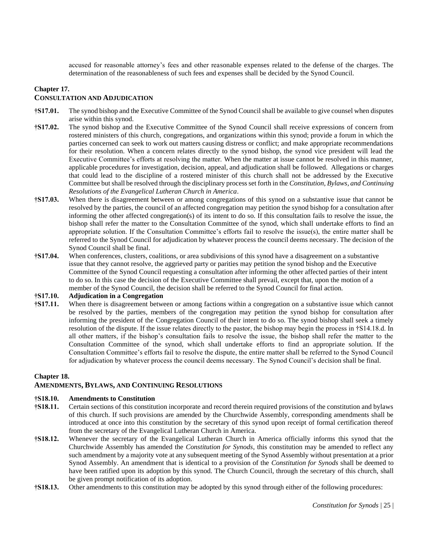accused for reasonable attorney's fees and other reasonable expenses related to the defense of the charges. The determination of the reasonableness of such fees and expenses shall be decided by the Synod Council.

#### **Chapter 17. CONSULTATION AND ADJUDICATION**

- **†S17.01.** The synod bishop and the Executive Committee of the Synod Council shall be available to give counsel when disputes arise within this synod.
- **†S17.02.** The synod bishop and the Executive Committee of the Synod Council shall receive expressions of concern from rostered ministers of this church, congregations, and organizations within this synod; provide a forum in which the parties concerned can seek to work out matters causing distress or conflict; and make appropriate recommendations for their resolution. When a concern relates directly to the synod bishop, the synod vice president will lead the Executive Committee's efforts at resolving the matter. When the matter at issue cannot be resolved in this manner, applicable procedures for investigation, decision, appeal, and adjudication shall be followed. Allegations or charges that could lead to the discipline of a rostered minister of this church shall not be addressed by the Executive Committee but shall be resolved through the disciplinary process set forth in the *Constitution, Bylaws, and Continuing Resolutions of the Evangelical Lutheran Church in America*.
- **†S17.03.** When there is disagreement between or among congregations of this synod on a substantive issue that cannot be resolved by the parties, the council of an affected congregation may petition the synod bishop for a consultation after informing the other affected congregation(s) of its intent to do so. If this consultation fails to resolve the issue, the bishop shall refer the matter to the Consultation Committee of the synod, which shall undertake efforts to find an appropriate solution. If the Consultation Committee's efforts fail to resolve the issue(s), the entire matter shall be referred to the Synod Council for adjudication by whatever process the council deems necessary. The decision of the Synod Council shall be final.
- **†S17.04.** When conferences, clusters, coalitions, or area subdivisions of this synod have a disagreement on a substantive issue that they cannot resolve, the aggrieved party or parities may petition the synod bishop and the Executive Committee of the Synod Council requesting a consultation after informing the other affected parties of their intent to do so. In this case the decision of the Executive Committee shall prevail, except that, upon the motion of a member of the Synod Council, the decision shall be referred to the Synod Council for final action.

#### **†S17.10. Adjudication in a Congregation**

**†S17.11.** When there is disagreement between or among factions within a congregation on a substantive issue which cannot be resolved by the parties, members of the congregation may petition the synod bishop for consultation after informing the president of the Congregation Council of their intent to do so. The synod bishop shall seek a timely resolution of the dispute. If the issue relates directly to the pastor, the bishop may begin the process in †S14.18.d. In all other matters, if the bishop's consultation fails to resolve the issue, the bishop shall refer the matter to the Consultation Committee of the synod, which shall undertake efforts to find an appropriate solution. If the Consultation Committee's efforts fail to resolve the dispute, the entire matter shall be referred to the Synod Council for adjudication by whatever process the council deems necessary. The Synod Council's decision shall be final.

#### **Chapter 18.**

#### **AMENDMENTS, BYLAWS, AND CONTINUING RESOLUTIONS**

#### **†S18.10. Amendments to Constitution**

- **†S18.11.** Certain sections of this constitution incorporate and record therein required provisions of the constitution and bylaws of this church. If such provisions are amended by the Churchwide Assembly, corresponding amendments shall be introduced at once into this constitution by the secretary of this synod upon receipt of formal certification thereof from the secretary of the Evangelical Lutheran Church in America.
- **†S18.12.** Whenever the secretary of the Evangelical Lutheran Church in America officially informs this synod that the Churchwide Assembly has amended the *Constitution for Synods*, this constitution may be amended to reflect any such amendment by a majority vote at any subsequent meeting of the Synod Assembly without presentation at a prior Synod Assembly. An amendment that is identical to a provision of the *Constitution for Synods* shall be deemed to have been ratified upon its adoption by this synod. The Church Council, through the secretary of this church, shall be given prompt notification of its adoption.
- **†S18.13.** Other amendments to this constitution may be adopted by this synod through either of the following procedures: